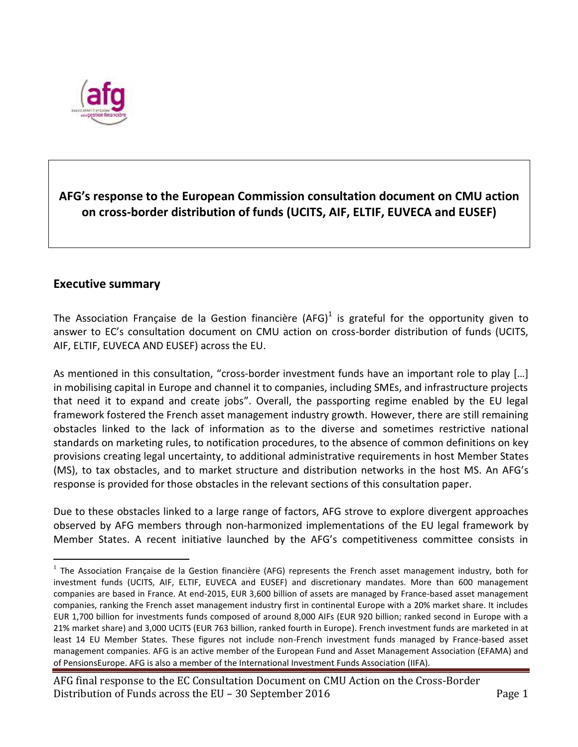

# **AFG's response to the European Commission consultation document on CMU action on cross-border distribution of funds (UCITS, AIF, ELTIF, EUVECA and EUSEF)**

# **Executive summary**

 $\overline{a}$ 

The Association Française de la Gestion financière (AFG)<sup>1</sup> is grateful for the opportunity given to answer to EC's consultation document on CMU action on cross-border distribution of funds (UCITS, AIF, ELTIF, EUVECA AND EUSEF) across the EU.

As mentioned in this consultation, "cross-border investment funds have an important role to play […] in mobilising capital in Europe and channel it to companies, including SMEs, and infrastructure projects that need it to expand and create jobs". Overall, the passporting regime enabled by the EU legal framework fostered the French asset management industry growth. However, there are still remaining obstacles linked to the lack of information as to the diverse and sometimes restrictive national standards on marketing rules, to notification procedures, to the absence of common definitions on key provisions creating legal uncertainty, to additional administrative requirements in host Member States (MS), to tax obstacles, and to market structure and distribution networks in the host MS. An AFG's response is provided for those obstacles in the relevant sections of this consultation paper.

Due to these obstacles linked to a large range of factors, AFG strove to explore divergent approaches observed by AFG members through non-harmonized implementations of the EU legal framework by Member States. A recent initiative launched by the AFG's competitiveness committee consists in

 $1$  The Association Française de la Gestion financière (AFG) represents the French asset management industry, both for investment funds (UCITS, AIF, ELTIF, EUVECA and EUSEF) and discretionary mandates. More than 600 management companies are based in France. At end-2015, EUR 3,600 billion of assets are managed by France-based asset management companies, ranking the French asset management industry first in continental Europe with a 20% market share. It includes EUR 1,700 billion for investments funds composed of around 8,000 AIFs (EUR 920 billion; ranked second in Europe with a 21% market share) and 3,000 UCITS (EUR 763 billion, ranked fourth in Europe). French investment funds are marketed in at least 14 EU Member States. These figures not include non-French investment funds managed by France-based asset management companies. AFG is an active member of the European Fund and Asset Management Association (EFAMA) and of PensionsEurope. AFG is also a member of the International Investment Funds Association (IIFA).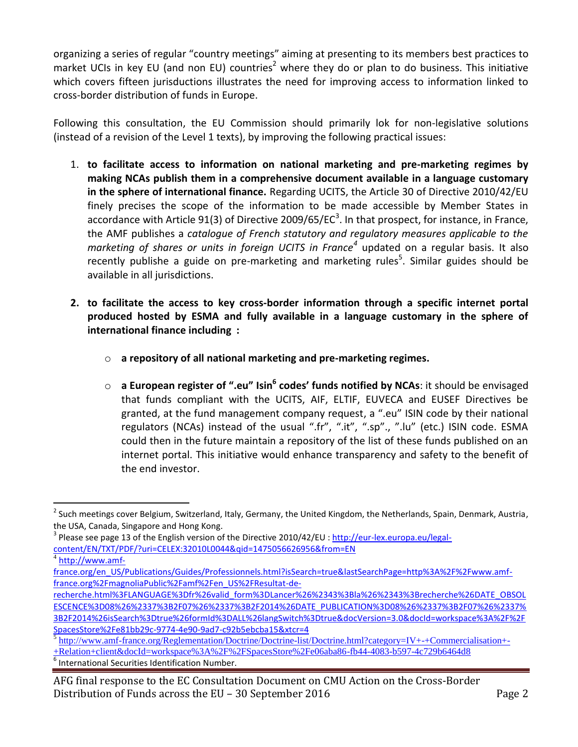organizing a series of regular "country meetings" aiming at presenting to its members best practices to market UCIs in key EU (and non EU) countries<sup>2</sup> where they do or plan to do business. This initiative which covers fifteen jurisductions illustrates the need for improving access to information linked to cross-border distribution of funds in Europe.

Following this consultation, the EU Commission should primarily lok for non-legislative solutions (instead of a revision of the Level 1 texts), by improving the following practical issues:

- 1. **to facilitate access to information on national marketing and pre-marketing regimes by making NCAs publish them in a comprehensive document available in a language customary in the sphere of international finance.** Regarding UCITS, the Article 30 of Directive 2010/42/EU finely precises the scope of the information to be made accessible by Member States in accordance with Article 91(3) of Directive 2009/65/EC<sup>3</sup>. In that prospect, for instance, in France, the AMF publishes a *catalogue of French statutory and regulatory measures applicable to the marketing of shares or units in foreign UCITS in France<sup>4</sup>* updated on a regular basis. It also recently publishe a guide on pre-marketing and marketing rules<sup>5</sup>. Similar guides should be available in all jurisdictions.
- **2. to facilitate the access to key cross-border information through a specific internet portal produced hosted by ESMA and fully available in a language customary in the sphere of international finance including :**
	- o **a repository of all national marketing and pre-marketing regimes.**
	- o **a European register of ".eu" Isin<sup>6</sup> codes' funds notified by NCAs**: it should be envisaged that funds compliant with the UCITS, AIF, ELTIF, EUVECA and EUSEF Directives be granted, at the fund management company request, a ".eu" ISIN code by their national regulators (NCAs) instead of the usual ".fr", ".it", ".sp"., ".lu" (etc.) ISIN code. ESMA could then in the future maintain a repository of the list of these funds published on an internet portal. This initiative would enhance transparency and safety to the benefit of the end investor.

<sup>&</sup>lt;sup>2</sup> Such meetings cover Belgium, Switzerland, Italy, Germany, the United Kingdom, the Netherlands, Spain, Denmark, Austria, the USA, Canada, Singapore and Hong Kong.

<sup>&</sup>lt;sup>3</sup> Please see page 13 of the English version of the Directive 2010/42/EU : [http://eur-lex.europa.eu/legal](http://eur-lex.europa.eu/legal-content/EN/TXT/PDF/?uri=CELEX:32010L0044&qid=1475056626956&from=EN)[content/EN/TXT/PDF/?uri=CELEX:32010L0044&qid=1475056626956&from=EN](http://eur-lex.europa.eu/legal-content/EN/TXT/PDF/?uri=CELEX:32010L0044&qid=1475056626956&from=EN) <sup>4</sup> [http://www.amf-](http://www.amf-france.org/en_US/Publications/Guides/Professionnels.html?isSearch=true&lastSearchPage=http%3A%2F%2Fwww.amf-france.org%2FmagnoliaPublic%2Famf%2Fen_US%2FResultat-de-recherche.html%3FLANGUAGE%3Dfr%26valid_form%3DLancer%26%2343%3Bla%26%2343%3Brecherche%26DATE_OBSOLESCENCE%3D08%26%2337%3B2F07%26%2337%3B2F2014%26DATE_PUBLICATION%3D08%26%2337%3B2F07%26%2337%3B2F2014%26isSearch%3Dtrue%26formId%3DALL%26langSwitch%3Dtrue&docVersion=3.0&docId=workspace%3A%2F%2FSpacesStore%2Fe81bb29c-9774-4e90-9ad7-c92b5ebcba15&xtcr=4)

[france.org/en\\_US/Publications/Guides/Professionnels.html?isSearch=true&lastSearchPage=http%3A%2F%2Fwww.amf](http://www.amf-france.org/en_US/Publications/Guides/Professionnels.html?isSearch=true&lastSearchPage=http%3A%2F%2Fwww.amf-france.org%2FmagnoliaPublic%2Famf%2Fen_US%2FResultat-de-recherche.html%3FLANGUAGE%3Dfr%26valid_form%3DLancer%26%2343%3Bla%26%2343%3Brecherche%26DATE_OBSOLESCENCE%3D08%26%2337%3B2F07%26%2337%3B2F2014%26DATE_PUBLICATION%3D08%26%2337%3B2F07%26%2337%3B2F2014%26isSearch%3Dtrue%26formId%3DALL%26langSwitch%3Dtrue&docVersion=3.0&docId=workspace%3A%2F%2FSpacesStore%2Fe81bb29c-9774-4e90-9ad7-c92b5ebcba15&xtcr=4)[france.org%2FmagnoliaPublic%2Famf%2Fen\\_US%2FResultat-de-](http://www.amf-france.org/en_US/Publications/Guides/Professionnels.html?isSearch=true&lastSearchPage=http%3A%2F%2Fwww.amf-france.org%2FmagnoliaPublic%2Famf%2Fen_US%2FResultat-de-recherche.html%3FLANGUAGE%3Dfr%26valid_form%3DLancer%26%2343%3Bla%26%2343%3Brecherche%26DATE_OBSOLESCENCE%3D08%26%2337%3B2F07%26%2337%3B2F2014%26DATE_PUBLICATION%3D08%26%2337%3B2F07%26%2337%3B2F2014%26isSearch%3Dtrue%26formId%3DALL%26langSwitch%3Dtrue&docVersion=3.0&docId=workspace%3A%2F%2FSpacesStore%2Fe81bb29c-9774-4e90-9ad7-c92b5ebcba15&xtcr=4)

[recherche.html%3FLANGUAGE%3Dfr%26valid\\_form%3DLancer%26%2343%3Bla%26%2343%3Brecherche%26DATE\\_OBSOL](http://www.amf-france.org/en_US/Publications/Guides/Professionnels.html?isSearch=true&lastSearchPage=http%3A%2F%2Fwww.amf-france.org%2FmagnoliaPublic%2Famf%2Fen_US%2FResultat-de-recherche.html%3FLANGUAGE%3Dfr%26valid_form%3DLancer%26%2343%3Bla%26%2343%3Brecherche%26DATE_OBSOLESCENCE%3D08%26%2337%3B2F07%26%2337%3B2F2014%26DATE_PUBLICATION%3D08%26%2337%3B2F07%26%2337%3B2F2014%26isSearch%3Dtrue%26formId%3DALL%26langSwitch%3Dtrue&docVersion=3.0&docId=workspace%3A%2F%2FSpacesStore%2Fe81bb29c-9774-4e90-9ad7-c92b5ebcba15&xtcr=4) [ESCENCE%3D08%26%2337%3B2F07%26%2337%3B2F2014%26DATE\\_PUBLICATION%3D08%26%2337%3B2F07%26%2337%](http://www.amf-france.org/en_US/Publications/Guides/Professionnels.html?isSearch=true&lastSearchPage=http%3A%2F%2Fwww.amf-france.org%2FmagnoliaPublic%2Famf%2Fen_US%2FResultat-de-recherche.html%3FLANGUAGE%3Dfr%26valid_form%3DLancer%26%2343%3Bla%26%2343%3Brecherche%26DATE_OBSOLESCENCE%3D08%26%2337%3B2F07%26%2337%3B2F2014%26DATE_PUBLICATION%3D08%26%2337%3B2F07%26%2337%3B2F2014%26isSearch%3Dtrue%26formId%3DALL%26langSwitch%3Dtrue&docVersion=3.0&docId=workspace%3A%2F%2FSpacesStore%2Fe81bb29c-9774-4e90-9ad7-c92b5ebcba15&xtcr=4) [3B2F2014%26isSearch%3Dtrue%26formId%3DALL%26langSwitch%3Dtrue&docVersion=3.0&docId=workspace%3A%2F%2F](http://www.amf-france.org/en_US/Publications/Guides/Professionnels.html?isSearch=true&lastSearchPage=http%3A%2F%2Fwww.amf-france.org%2FmagnoliaPublic%2Famf%2Fen_US%2FResultat-de-recherche.html%3FLANGUAGE%3Dfr%26valid_form%3DLancer%26%2343%3Bla%26%2343%3Brecherche%26DATE_OBSOLESCENCE%3D08%26%2337%3B2F07%26%2337%3B2F2014%26DATE_PUBLICATION%3D08%26%2337%3B2F07%26%2337%3B2F2014%26isSearch%3Dtrue%26formId%3DALL%26langSwitch%3Dtrue&docVersion=3.0&docId=workspace%3A%2F%2FSpacesStore%2Fe81bb29c-9774-4e90-9ad7-c92b5ebcba15&xtcr=4) [SpacesStore%2Fe81bb29c-9774-4e90-9ad7-c92b5ebcba15&xtcr=4](http://www.amf-france.org/en_US/Publications/Guides/Professionnels.html?isSearch=true&lastSearchPage=http%3A%2F%2Fwww.amf-france.org%2FmagnoliaPublic%2Famf%2Fen_US%2FResultat-de-recherche.html%3FLANGUAGE%3Dfr%26valid_form%3DLancer%26%2343%3Bla%26%2343%3Brecherche%26DATE_OBSOLESCENCE%3D08%26%2337%3B2F07%26%2337%3B2F2014%26DATE_PUBLICATION%3D08%26%2337%3B2F07%26%2337%3B2F2014%26isSearch%3Dtrue%26formId%3DALL%26langSwitch%3Dtrue&docVersion=3.0&docId=workspace%3A%2F%2FSpacesStore%2Fe81bb29c-9774-4e90-9ad7-c92b5ebcba15&xtcr=4)

<sup>5</sup> [http://www.amf-france.org/Reglementation/Doctrine/Doctrine-list/Doctrine.html?category=IV+-+Commercialisation+-](http://www.amf-france.org/Reglementation/Doctrine/Doctrine-list/Doctrine.html?category=IV+-+Commercialisation+-+Relation+client&docId=workspace%3A%2F%2FSpacesStore%2Fe06aba86-fb44-4083-b597-4c729b6464d8) [+Relation+client&docId=workspace%3A%2F%2FSpacesStore%2Fe06aba86-fb44-4083-b597-4c729b6464d8](http://www.amf-france.org/Reglementation/Doctrine/Doctrine-list/Doctrine.html?category=IV+-+Commercialisation+-+Relation+client&docId=workspace%3A%2F%2FSpacesStore%2Fe06aba86-fb44-4083-b597-4c729b6464d8)

 $<sup>6</sup>$  International Securities Identification Number.</sup>

AFG final response to the EC Consultation Document on CMU Action on the Cross-Border Distribution of Funds across the EU – 30 September 2016 **Page 2** Page 2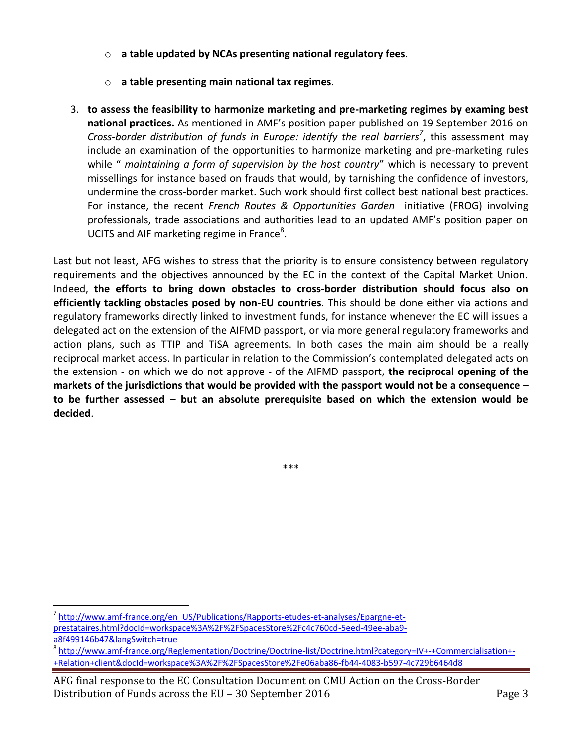- o **a table updated by NCAs presenting national regulatory fees**.
- o **a table presenting main national tax regimes**.
- 3. **to assess the feasibility to harmonize marketing and pre-marketing regimes by examing best national practices.** As mentioned in AMF's position paper published on 19 September 2016 on *Cross-border distribution of funds in Europe: identify the real barriers<sup>7</sup>* , this assessment may include an examination of the opportunities to harmonize marketing and pre-marketing rules while " *maintaining a form of supervision by the host country*" which is necessary to prevent missellings for instance based on frauds that would, by tarnishing the confidence of investors, undermine the cross-border market. Such work should first collect best national best practices. For instance, the recent *French Routes & Opportunities Garden* initiative (FROG) involving professionals, trade associations and authorities lead to an updated AMF's position paper on UCITS and AIF marketing regime in France<sup>8</sup>.

Last but not least, AFG wishes to stress that the priority is to ensure consistency between regulatory requirements and the objectives announced by the EC in the context of the Capital Market Union. Indeed, **the efforts to bring down obstacles to cross-border distribution should focus also on efficiently tackling obstacles posed by non-EU countries**. This should be done either via actions and regulatory frameworks directly linked to investment funds, for instance whenever the EC will issues a delegated act on the extension of the AIFMD passport, or via more general regulatory frameworks and action plans, such as TTIP and TiSA agreements. In both cases the main aim should be a really reciprocal market access. In particular in relation to the Commission's contemplated delegated acts on the extension - on which we do not approve - of the AIFMD passport, **the reciprocal opening of the markets of the jurisdictions that would be provided with the passport would not be a consequence – to be further assessed – but an absolute prerequisite based on which the extension would be decided**.

\*\*\*

<sup>&</sup>lt;sup>7</sup> [http://www.amf-france.org/en\\_US/Publications/Rapports-etudes-et-analyses/Epargne-et](http://www.amf-france.org/en_US/Publications/Rapports-etudes-et-analyses/Epargne-et-prestataires.html?docId=workspace%3A%2F%2FSpacesStore%2Fc4c760cd-5eed-49ee-aba9-a8f499146b47&langSwitch=true)[prestataires.html?docId=workspace%3A%2F%2FSpacesStore%2Fc4c760cd-5eed-49ee-aba9](http://www.amf-france.org/en_US/Publications/Rapports-etudes-et-analyses/Epargne-et-prestataires.html?docId=workspace%3A%2F%2FSpacesStore%2Fc4c760cd-5eed-49ee-aba9-a8f499146b47&langSwitch=true) [a8f499146b47&langSwitch=true](http://www.amf-france.org/en_US/Publications/Rapports-etudes-et-analyses/Epargne-et-prestataires.html?docId=workspace%3A%2F%2FSpacesStore%2Fc4c760cd-5eed-49ee-aba9-a8f499146b47&langSwitch=true)

<sup>8</sup> [http://www.amf-france.org/Reglementation/Doctrine/Doctrine-list/Doctrine.html?category=IV+-+Commercialisation+-](http://www.amf-france.org/Reglementation/Doctrine/Doctrine-list/Doctrine.html?category=IV+-+Commercialisation+-+Relation+client&docId=workspace%3A%2F%2FSpacesStore%2Fe06aba86-fb44-4083-b597-4c729b6464d8) [+Relation+client&docId=workspace%3A%2F%2FSpacesStore%2Fe06aba86-fb44-4083-b597-4c729b6464d8](http://www.amf-france.org/Reglementation/Doctrine/Doctrine-list/Doctrine.html?category=IV+-+Commercialisation+-+Relation+client&docId=workspace%3A%2F%2FSpacesStore%2Fe06aba86-fb44-4083-b597-4c729b6464d8)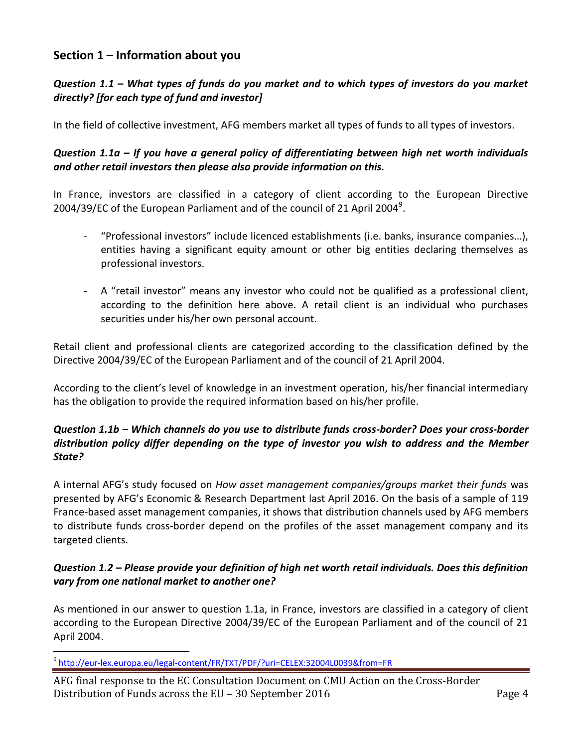## **Section 1 – Information about you**

### *Question 1.1 – What types of funds do you market and to which types of investors do you market directly? [for each type of fund and investor]*

In the field of collective investment, AFG members market all types of funds to all types of investors.

### *Question 1.1a – If you have a general policy of differentiating between high net worth individuals and other retail investors then please also provide information on this.*

In France, investors are classified in a category of client according to the European Directive 2004/39/EC of the European Parliament and of the council of 21 April 2004<sup>9</sup>.

- "Professional investors" include licenced establishments (i.e. banks, insurance companies…), entities having a significant equity amount or other big entities declaring themselves as professional investors.
- A "retail investor" means any investor who could not be qualified as a professional client, according to the definition here above. A retail client is an individual who purchases securities under his/her own personal account.

Retail client and professional clients are categorized according to the classification defined by the Directive 2004/39/EC of the European Parliament and of the council of 21 April 2004.

According to the client's level of knowledge in an investment operation, his/her financial intermediary has the obligation to provide the required information based on his/her profile.

### *Question 1.1b – Which channels do you use to distribute funds cross-border? Does your cross-border distribution policy differ depending on the type of investor you wish to address and the Member State?*

A internal AFG's study focused on *How asset management companies/groups market their funds* was presented by AFG's Economic & Research Department last April 2016. On the basis of a sample of 119 France-based asset management companies, it shows that distribution channels used by AFG members to distribute funds cross-border depend on the profiles of the asset management company and its targeted clients.

## *Question 1.2 – Please provide your definition of high net worth retail individuals. Does this definition vary from one national market to another one?*

As mentioned in our answer to question 1.1a, in France, investors are classified in a category of client according to the European Directive 2004/39/EC of the European Parliament and of the council of 21 April 2004.

<sup>&</sup>lt;sup>9</sup> <http://eur-lex.europa.eu/legal-content/FR/TXT/PDF/?uri=CELEX:32004L0039&from=FR>

AFG final response to the EC Consultation Document on CMU Action on the Cross-Border Distribution of Funds across the EU – 30 September 2016 **Page 4** Page 4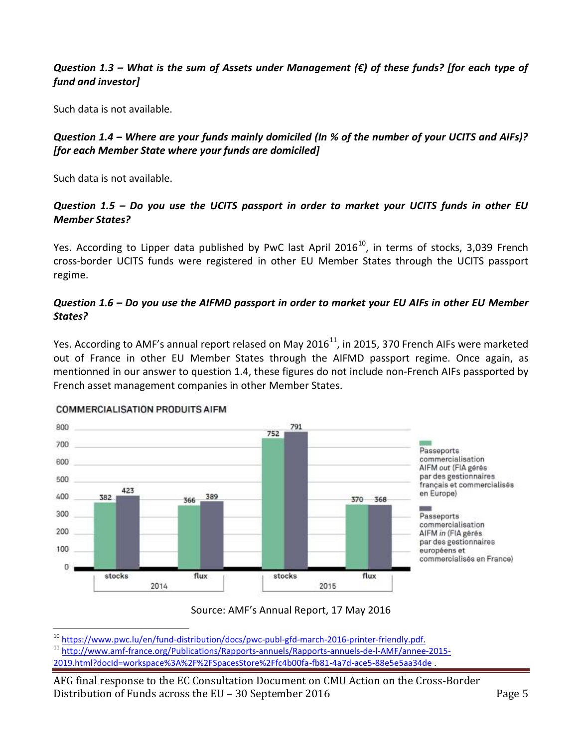#### *Question 1.3 – What is the sum of Assets under Management (€) of these funds? [for each type of fund and investor]*

Such data is not available.

## *Question 1.4 – Where are your funds mainly domiciled (In % of the number of your UCITS and AIFs)? [for each Member State where your funds are domiciled]*

Such data is not available.

## *Question 1.5 – Do you use the UCITS passport in order to market your UCITS funds in other EU Member States?*

Yes. According to Lipper data published by PwC last April 2016<sup>10</sup>, in terms of stocks, 3,039 French cross-border UCITS funds were registered in other EU Member States through the UCITS passport regime.

### *Question 1.6 – Do you use the AIFMD passport in order to market your EU AIFs in other EU Member States?*

Yes. According to AMF's annual report relased on May 2016 $^{11}$ , in 2015, 370 French AIFs were marketed out of France in other EU Member States through the AIFMD passport regime. Once again, as mentionned in our answer to question 1.4, these figures do not include non-French AIFs passported by French asset management companies in other Member States.



#### **COMMERCIALISATION PRODUITS AIFM**

 $\overline{a}$ 

Source: AMF's Annual Report, 17 May 2016

<sup>&</sup>lt;sup>10</sup> [https://www.pwc.lu/en/fund-distribution/docs/pwc-publ-gfd-march-2016-printer-friendly.pdf.](https://www.pwc.lu/en/fund-distribution/docs/pwc-publ-gfd-march-2016-printer-friendly.pdf)

<sup>11</sup> [http://www.amf-france.org/Publications/Rapports-annuels/Rapports-annuels-de-l-AMF/annee-2015-](http://www.amf-france.org/Publications/Rapports-annuels/Rapports-annuels-de-l-AMF/annee-2015-2019.html?docId=workspace%3A%2F%2FSpacesStore%2Ffc4b00fa-fb81-4a7d-ace5-88e5e5aa34de) [2019.html?docId=workspace%3A%2F%2FSpacesStore%2Ffc4b00fa-fb81-4a7d-ace5-88e5e5aa34de](http://www.amf-france.org/Publications/Rapports-annuels/Rapports-annuels-de-l-AMF/annee-2015-2019.html?docId=workspace%3A%2F%2FSpacesStore%2Ffc4b00fa-fb81-4a7d-ace5-88e5e5aa34de) .

AFG final response to the EC Consultation Document on CMU Action on the Cross-Border Distribution of Funds across the EU – 30 September 2016 Page 5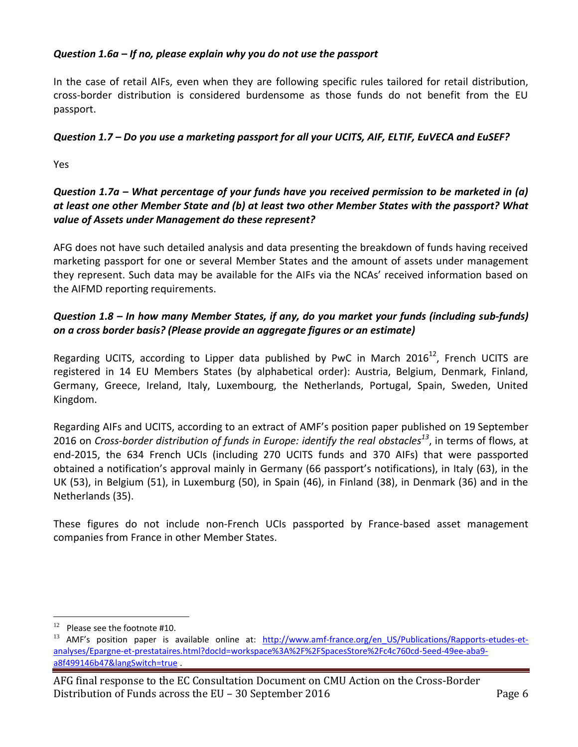#### *Question 1.6a – If no, please explain why you do not use the passport*

In the case of retail AIFs, even when they are following specific rules tailored for retail distribution, cross-border distribution is considered burdensome as those funds do not benefit from the EU passport.

## *Question 1.7 – Do you use a marketing passport for all your UCITS, AIF, ELTIF, EuVECA and EuSEF?*

Yes

## *Question 1.7a – What percentage of your funds have you received permission to be marketed in (a) at least one other Member State and (b) at least two other Member States with the passport? What value of Assets under Management do these represent?*

AFG does not have such detailed analysis and data presenting the breakdown of funds having received marketing passport for one or several Member States and the amount of assets under management they represent. Such data may be available for the AIFs via the NCAs' received information based on the AIFMD reporting requirements.

## *Question 1.8 – In how many Member States, if any, do you market your funds (including sub-funds) on a cross border basis? (Please provide an aggregate figures or an estimate)*

Regarding UCITS, according to Lipper data published by PwC in March 2016<sup>12</sup>, French UCITS are registered in 14 EU Members States (by alphabetical order): Austria, Belgium, Denmark, Finland, Germany, Greece, Ireland, Italy, Luxembourg, the Netherlands, Portugal, Spain, Sweden, United Kingdom.

Regarding AIFs and UCITS, according to an extract of AMF's position paper published on 19 September 2016 on *Cross-border distribution of funds in Europe: identify the real obstacles 13* , in terms of flows, at end-2015, the 634 French UCIs (including 270 UCITS funds and 370 AIFs) that were passported obtained a notification's approval mainly in Germany (66 passport's notifications), in Italy (63), in the UK (53), in Belgium (51), in Luxemburg (50), in Spain (46), in Finland (38), in Denmark (36) and in the Netherlands (35).

These figures do not include non-French UCIs passported by France-based asset management companies from France in other Member States.

<sup>12</sup> Please see the footnote #10.

<sup>&</sup>lt;sup>13</sup> AMF's position paper is available online at: [http://www.amf-france.org/en\\_US/Publications/Rapports-etudes-et](http://www.amf-france.org/en_US/Publications/Rapports-etudes-et-analyses/Epargne-et-prestataires.html?docId=workspace%3A%2F%2FSpacesStore%2Fc4c760cd-5eed-49ee-aba9-a8f499146b47&langSwitch=true)[analyses/Epargne-et-prestataires.html?docId=workspace%3A%2F%2FSpacesStore%2Fc4c760cd-5eed-49ee-aba9](http://www.amf-france.org/en_US/Publications/Rapports-etudes-et-analyses/Epargne-et-prestataires.html?docId=workspace%3A%2F%2FSpacesStore%2Fc4c760cd-5eed-49ee-aba9-a8f499146b47&langSwitch=true) [a8f499146b47&langSwitch=true](http://www.amf-france.org/en_US/Publications/Rapports-etudes-et-analyses/Epargne-et-prestataires.html?docId=workspace%3A%2F%2FSpacesStore%2Fc4c760cd-5eed-49ee-aba9-a8f499146b47&langSwitch=true) .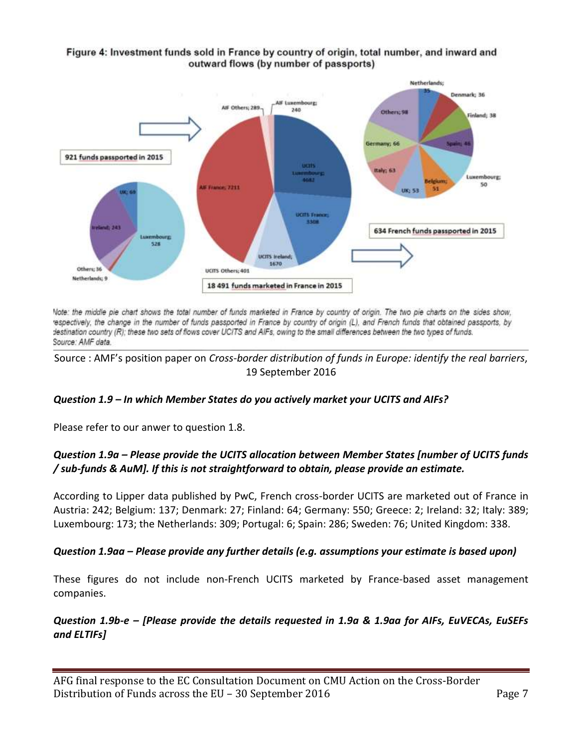

#### Figure 4: Investment funds sold in France by country of origin, total number, and inward and outward flows (by number of passports)

Note: the middle pie chart shows the total number of funds marketed in France by country of origin. The two pie charts on the sides show, respectively, the change in the number of funds passported in France by country of origin (L), and French funds that obtained passports, by destination country (R); these two sets of flows cover UCITS and AIFs, owing to the small differences between the two types of funds. Source: AMF data.

Source : AMF's position paper on *Cross-border distribution of funds in Europe: identify the real barriers*, 19 September 2016

## *Question 1.9 – In which Member States do you actively market your UCITS and AIFs?*

Please refer to our anwer to question 1.8.

## *Question 1.9a – Please provide the UCITS allocation between Member States [number of UCITS funds / sub-funds & AuM]. If this is not straightforward to obtain, please provide an estimate.*

According to Lipper data published by PwC, French cross-border UCITS are marketed out of France in Austria: 242; Belgium: 137; Denmark: 27; Finland: 64; Germany: 550; Greece: 2; Ireland: 32; Italy: 389; Luxembourg: 173; the Netherlands: 309; Portugal: 6; Spain: 286; Sweden: 76; United Kingdom: 338.

## *Question 1.9aa – Please provide any further details (e.g. assumptions your estimate is based upon)*

These figures do not include non-French UCITS marketed by France-based asset management companies.

## *Question 1.9b-e – [Please provide the details requested in 1.9a & 1.9aa for AIFs, EuVECAs, EuSEFs and ELTIFs]*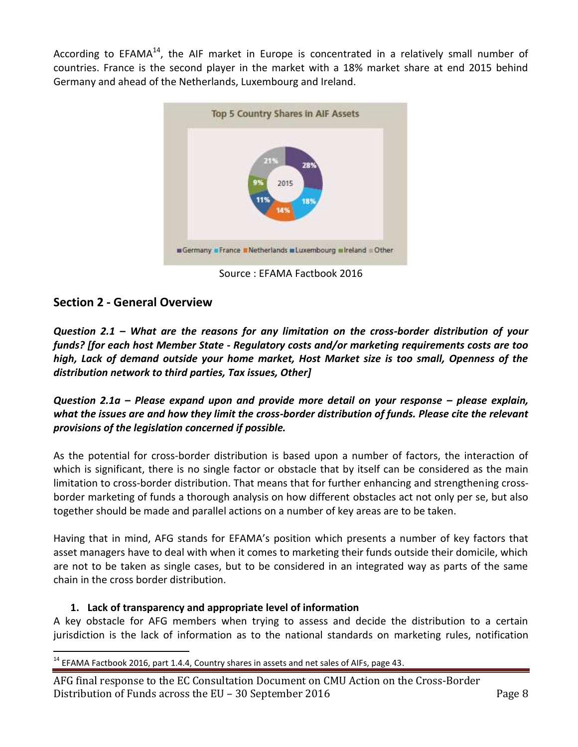According to EFAMA $^{14}$ , the AIF market in Europe is concentrated in a relatively small number of countries. France is the second player in the market with a 18% market share at end 2015 behind Germany and ahead of the Netherlands, Luxembourg and Ireland.



Source : EFAMA Factbook 2016

# **Section 2 - General Overview**

*Question 2.1 – What are the reasons for any limitation on the cross-border distribution of your funds? [for each host Member State - Regulatory costs and/or marketing requirements costs are too high, Lack of demand outside your home market, Host Market size is too small, Openness of the distribution network to third parties, Tax issues, Other]*

*Question 2.1a – Please expand upon and provide more detail on your response – please explain, what the issues are and how they limit the cross-border distribution of funds. Please cite the relevant provisions of the legislation concerned if possible.*

As the potential for cross-border distribution is based upon a number of factors, the interaction of which is significant, there is no single factor or obstacle that by itself can be considered as the main limitation to cross-border distribution. That means that for further enhancing and strengthening crossborder marketing of funds a thorough analysis on how different obstacles act not only per se, but also together should be made and parallel actions on a number of key areas are to be taken.

Having that in mind, AFG stands for EFAMA's position which presents a number of key factors that asset managers have to deal with when it comes to marketing their funds outside their domicile, which are not to be taken as single cases, but to be considered in an integrated way as parts of the same chain in the cross border distribution.

#### **1. Lack of transparency and appropriate level of information**

A key obstacle for AFG members when trying to assess and decide the distribution to a certain jurisdiction is the lack of information as to the national standards on marketing rules, notification

 $\overline{a}$  $14$  EFAMA Factbook 2016, part 1.4.4, Country shares in assets and net sales of AIFs, page 43.

AFG final response to the EC Consultation Document on CMU Action on the Cross-Border Distribution of Funds across the EU – 30 September 2016 **Page 8** Page 8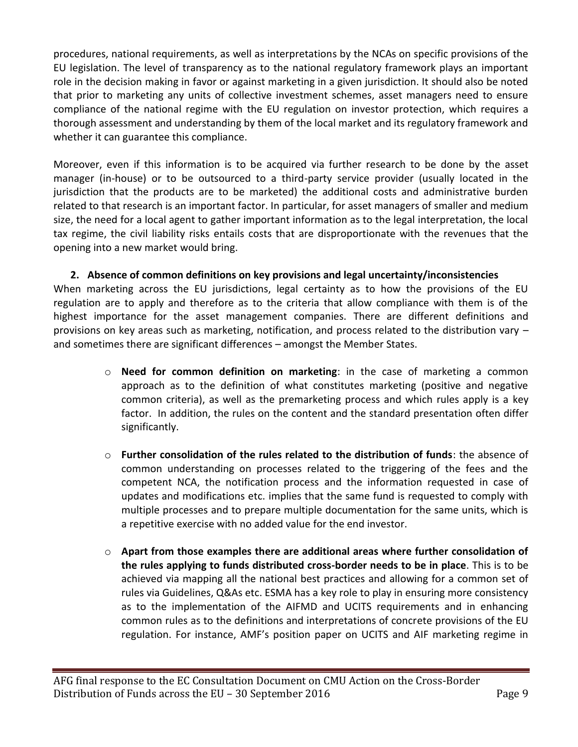procedures, national requirements, as well as interpretations by the NCAs on specific provisions of the EU legislation. The level of transparency as to the national regulatory framework plays an important role in the decision making in favor or against marketing in a given jurisdiction. It should also be noted that prior to marketing any units of collective investment schemes, asset managers need to ensure compliance of the national regime with the EU regulation on investor protection, which requires a thorough assessment and understanding by them of the local market and its regulatory framework and whether it can guarantee this compliance.

Moreover, even if this information is to be acquired via further research to be done by the asset manager (in-house) or to be outsourced to a third-party service provider (usually located in the jurisdiction that the products are to be marketed) the additional costs and administrative burden related to that research is an important factor. In particular, for asset managers of smaller and medium size, the need for a local agent to gather important information as to the legal interpretation, the local tax regime, the civil liability risks entails costs that are disproportionate with the revenues that the opening into a new market would bring.

**2. Absence of common definitions on key provisions and legal uncertainty/inconsistencies** When marketing across the EU jurisdictions, legal certainty as to how the provisions of the EU regulation are to apply and therefore as to the criteria that allow compliance with them is of the highest importance for the asset management companies. There are different definitions and provisions on key areas such as marketing, notification, and process related to the distribution vary – and sometimes there are significant differences – amongst the Member States.

- o **Need for common definition on marketing**: in the case of marketing a common approach as to the definition of what constitutes marketing (positive and negative common criteria), as well as the premarketing process and which rules apply is a key factor. In addition, the rules on the content and the standard presentation often differ significantly.
- o **Further consolidation of the rules related to the distribution of funds**: the absence of common understanding on processes related to the triggering of the fees and the competent NCA, the notification process and the information requested in case of updates and modifications etc. implies that the same fund is requested to comply with multiple processes and to prepare multiple documentation for the same units, which is a repetitive exercise with no added value for the end investor.
- o **Apart from those examples there are additional areas where further consolidation of the rules applying to funds distributed cross-border needs to be in place**. This is to be achieved via mapping all the national best practices and allowing for a common set of rules via Guidelines, Q&As etc. ESMA has a key role to play in ensuring more consistency as to the implementation of the AIFMD and UCITS requirements and in enhancing common rules as to the definitions and interpretations of concrete provisions of the EU regulation. For instance, AMF's position paper on UCITS and AIF marketing regime in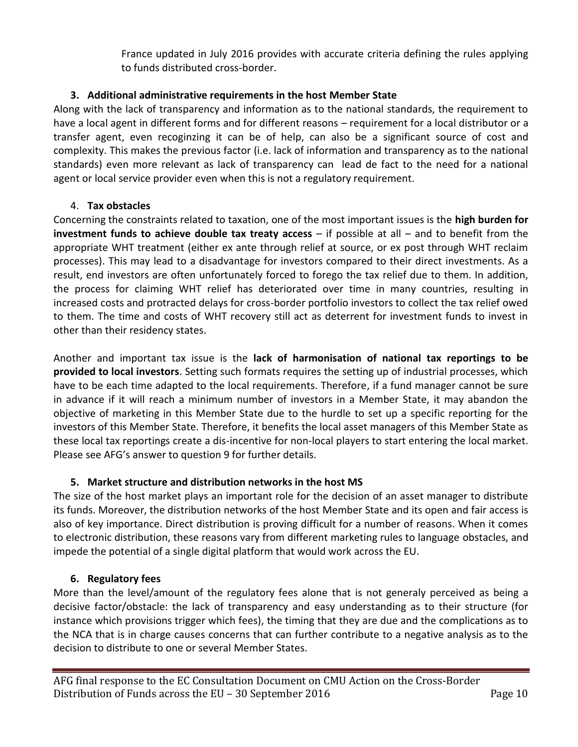France updated in July 2016 provides with accurate criteria defining the rules applying to funds distributed cross-border.

## **3. Additional administrative requirements in the host Member State**

Along with the lack of transparency and information as to the national standards, the requirement to have a local agent in different forms and for different reasons – requirement for a local distributor or a transfer agent, even recoginzing it can be of help, can also be a significant source of cost and complexity. This makes the previous factor (i.e. lack of information and transparency as to the national standards) even more relevant as lack of transparency can lead de fact to the need for a national agent or local service provider even when this is not a regulatory requirement.

#### 4. **Tax obstacles**

Concerning the constraints related to taxation, one of the most important issues is the **high burden for investment funds to achieve double tax treaty access** – if possible at all – and to benefit from the appropriate WHT treatment (either ex ante through relief at source, or ex post through WHT reclaim processes). This may lead to a disadvantage for investors compared to their direct investments. As a result, end investors are often unfortunately forced to forego the tax relief due to them. In addition, the process for claiming WHT relief has deteriorated over time in many countries, resulting in increased costs and protracted delays for cross-border portfolio investors to collect the tax relief owed to them. The time and costs of WHT recovery still act as deterrent for investment funds to invest in other than their residency states.

Another and important tax issue is the **lack of harmonisation of national tax reportings to be provided to local investors**. Setting such formats requires the setting up of industrial processes, which have to be each time adapted to the local requirements. Therefore, if a fund manager cannot be sure in advance if it will reach a minimum number of investors in a Member State, it may abandon the objective of marketing in this Member State due to the hurdle to set up a specific reporting for the investors of this Member State. Therefore, it benefits the local asset managers of this Member State as these local tax reportings create a dis-incentive for non-local players to start entering the local market. Please see AFG's answer to question 9 for further details.

#### **5. Market structure and distribution networks in the host MS**

The size of the host market plays an important role for the decision of an asset manager to distribute its funds. Moreover, the distribution networks of the host Member State and its open and fair access is also of key importance. Direct distribution is proving difficult for a number of reasons. When it comes to electronic distribution, these reasons vary from different marketing rules to language obstacles, and impede the potential of a single digital platform that would work across the EU.

#### **6. Regulatory fees**

More than the level/amount of the regulatory fees alone that is not generaly perceived as being a decisive factor/obstacle: the lack of transparency and easy understanding as to their structure (for instance which provisions trigger which fees), the timing that they are due and the complications as to the NCA that is in charge causes concerns that can further contribute to a negative analysis as to the decision to distribute to one or several Member States.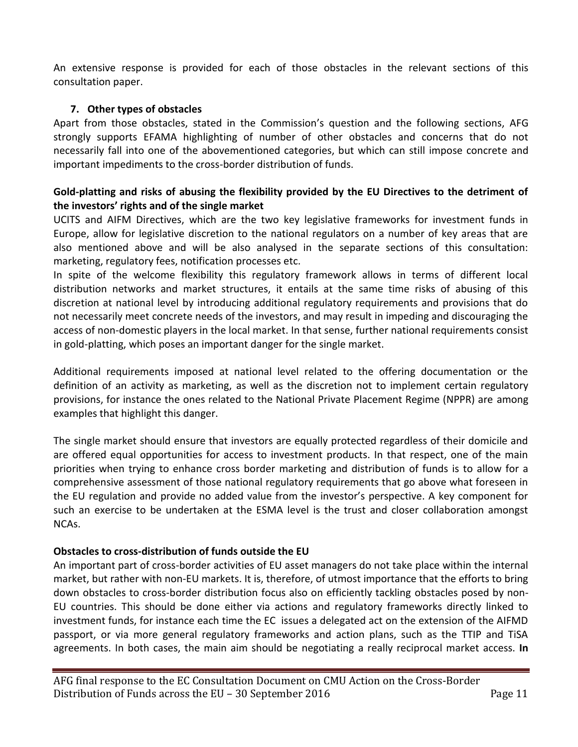An extensive response is provided for each of those obstacles in the relevant sections of this consultation paper.

#### **7. Other types of obstacles**

Apart from those obstacles, stated in the Commission's question and the following sections, AFG strongly supports EFAMA highlighting of number of other obstacles and concerns that do not necessarily fall into one of the abovementioned categories, but which can still impose concrete and important impediments to the cross-border distribution of funds.

#### **Gold-platting and risks of abusing the flexibility provided by the EU Directives to the detriment of the investors' rights and of the single market**

UCITS and AIFM Directives, which are the two key legislative frameworks for investment funds in Europe, allow for legislative discretion to the national regulators on a number of key areas that are also mentioned above and will be also analysed in the separate sections of this consultation: marketing, regulatory fees, notification processes etc.

In spite of the welcome flexibility this regulatory framework allows in terms of different local distribution networks and market structures, it entails at the same time risks of abusing of this discretion at national level by introducing additional regulatory requirements and provisions that do not necessarily meet concrete needs of the investors, and may result in impeding and discouraging the access of non-domestic players in the local market. In that sense, further national requirements consist in gold-platting, which poses an important danger for the single market.

Additional requirements imposed at national level related to the offering documentation or the definition of an activity as marketing, as well as the discretion not to implement certain regulatory provisions, for instance the ones related to the National Private Placement Regime (NPPR) are among examples that highlight this danger.

The single market should ensure that investors are equally protected regardless of their domicile and are offered equal opportunities for access to investment products. In that respect, one of the main priorities when trying to enhance cross border marketing and distribution of funds is to allow for a comprehensive assessment of those national regulatory requirements that go above what foreseen in the EU regulation and provide no added value from the investor's perspective. A key component for such an exercise to be undertaken at the ESMA level is the trust and closer collaboration amongst NCAs.

#### **Obstacles to cross-distribution of funds outside the EU**

An important part of cross-border activities of EU asset managers do not take place within the internal market, but rather with non-EU markets. It is, therefore, of utmost importance that the efforts to bring down obstacles to cross-border distribution focus also on efficiently tackling obstacles posed by non-EU countries. This should be done either via actions and regulatory frameworks directly linked to investment funds, for instance each time the EC issues a delegated act on the extension of the AIFMD passport, or via more general regulatory frameworks and action plans, such as the TTIP and TiSA agreements. In both cases, the main aim should be negotiating a really reciprocal market access. **In**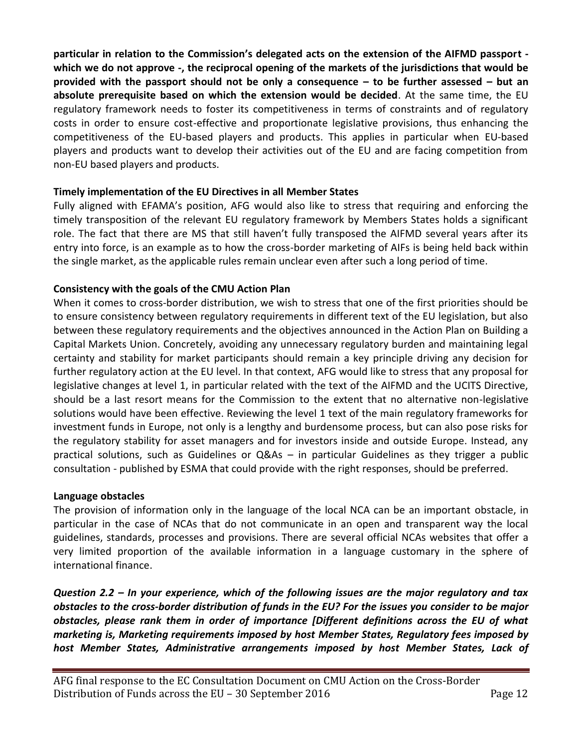**particular in relation to the Commission's delegated acts on the extension of the AIFMD passport which we do not approve -, the reciprocal opening of the markets of the jurisdictions that would be provided with the passport should not be only a consequence – to be further assessed – but an absolute prerequisite based on which the extension would be decided**. At the same time, the EU regulatory framework needs to foster its competitiveness in terms of constraints and of regulatory costs in order to ensure cost-effective and proportionate legislative provisions, thus enhancing the competitiveness of the EU-based players and products. This applies in particular when EU-based players and products want to develop their activities out of the EU and are facing competition from non-EU based players and products.

#### **Timely implementation of the EU Directives in all Member States**

Fully aligned with EFAMA's position, AFG would also like to stress that requiring and enforcing the timely transposition of the relevant EU regulatory framework by Members States holds a significant role. The fact that there are MS that still haven't fully transposed the AIFMD several years after its entry into force, is an example as to how the cross-border marketing of AIFs is being held back within the single market, as the applicable rules remain unclear even after such a long period of time.

#### **Consistency with the goals of the CMU Action Plan**

When it comes to cross-border distribution, we wish to stress that one of the first priorities should be to ensure consistency between regulatory requirements in different text of the EU legislation, but also between these regulatory requirements and the objectives announced in the Action Plan on Building a Capital Markets Union. Concretely, avoiding any unnecessary regulatory burden and maintaining legal certainty and stability for market participants should remain a key principle driving any decision for further regulatory action at the EU level. In that context, AFG would like to stress that any proposal for legislative changes at level 1, in particular related with the text of the AIFMD and the UCITS Directive, should be a last resort means for the Commission to the extent that no alternative non-legislative solutions would have been effective. Reviewing the level 1 text of the main regulatory frameworks for investment funds in Europe, not only is a lengthy and burdensome process, but can also pose risks for the regulatory stability for asset managers and for investors inside and outside Europe. Instead, any practical solutions, such as Guidelines or Q&As – in particular Guidelines as they trigger a public consultation - published by ESMA that could provide with the right responses, should be preferred.

#### **Language obstacles**

The provision of information only in the language of the local NCA can be an important obstacle, in particular in the case of NCAs that do not communicate in an open and transparent way the local guidelines, standards, processes and provisions. There are several official NCAs websites that offer a very limited proportion of the available information in a language customary in the sphere of international finance.

*Question 2.2 – In your experience, which of the following issues are the major regulatory and tax obstacles to the cross-border distribution of funds in the EU? For the issues you consider to be major obstacles, please rank them in order of importance [Different definitions across the EU of what marketing is, Marketing requirements imposed by host Member States, Regulatory fees imposed by host Member States, Administrative arrangements imposed by host Member States, Lack of*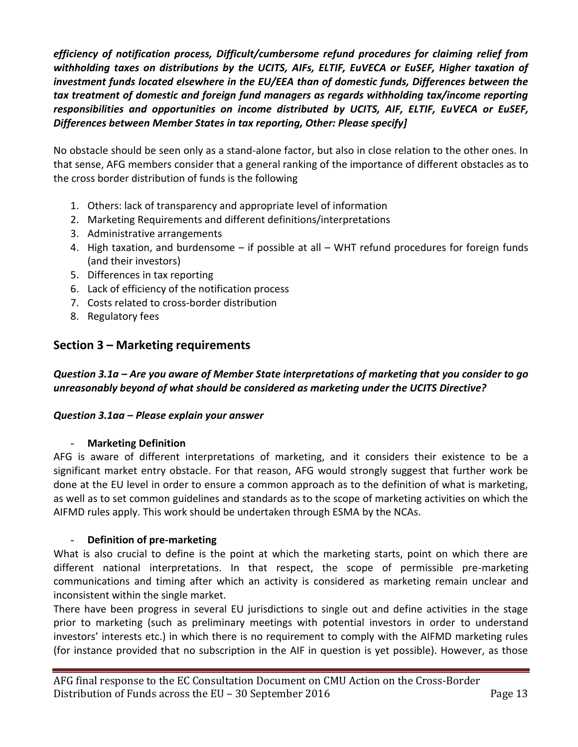*efficiency of notification process, Difficult/cumbersome refund procedures for claiming relief from withholding taxes on distributions by the UCITS, AIFs, ELTIF, EuVECA or EuSEF, Higher taxation of investment funds located elsewhere in the EU/EEA than of domestic funds, Differences between the tax treatment of domestic and foreign fund managers as regards withholding tax/income reporting responsibilities and opportunities on income distributed by UCITS, AIF, ELTIF, EuVECA or EuSEF, Differences between Member States in tax reporting, Other: Please specify]*

No obstacle should be seen only as a stand-alone factor, but also in close relation to the other ones. In that sense, AFG members consider that a general ranking of the importance of different obstacles as to the cross border distribution of funds is the following

- 1. Others: lack of transparency and appropriate level of information
- 2. Marketing Requirements and different definitions/interpretations
- 3. Administrative arrangements
- 4. High taxation, and burdensome if possible at all WHT refund procedures for foreign funds (and their investors)
- 5. Differences in tax reporting
- 6. Lack of efficiency of the notification process
- 7. Costs related to cross-border distribution
- 8. Regulatory fees

## **Section 3 – Marketing requirements**

*Question 3.1a – Are you aware of Member State interpretations of marketing that you consider to go unreasonably beyond of what should be considered as marketing under the UCITS Directive?* 

#### *Question 3.1aa – Please explain your answer*

#### - **Marketing Definition**

AFG is aware of different interpretations of marketing, and it considers their existence to be a significant market entry obstacle. For that reason, AFG would strongly suggest that further work be done at the EU level in order to ensure a common approach as to the definition of what is marketing, as well as to set common guidelines and standards as to the scope of marketing activities on which the AIFMD rules apply. This work should be undertaken through ESMA by the NCAs.

#### - **Definition of pre-marketing**

What is also crucial to define is the point at which the marketing starts, point on which there are different national interpretations. In that respect, the scope of permissible pre-marketing communications and timing after which an activity is considered as marketing remain unclear and inconsistent within the single market.

There have been progress in several EU jurisdictions to single out and define activities in the stage prior to marketing (such as preliminary meetings with potential investors in order to understand investors' interests etc.) in which there is no requirement to comply with the AIFMD marketing rules (for instance provided that no subscription in the AIF in question is yet possible). However, as those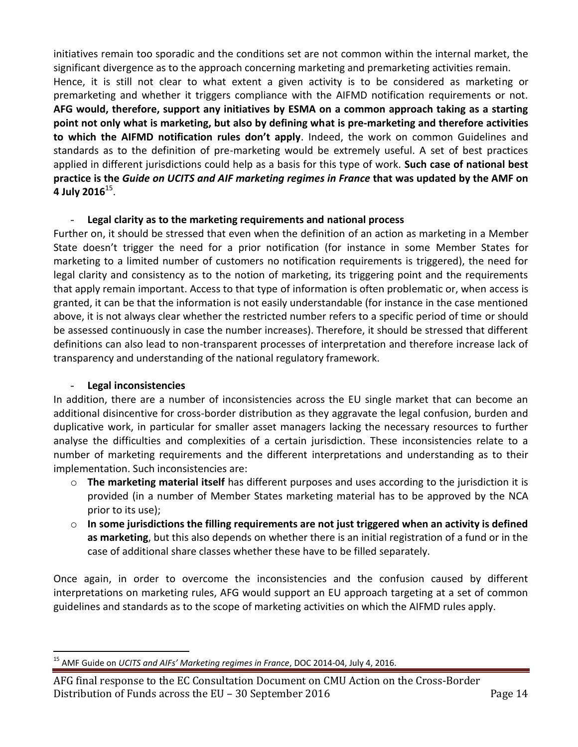initiatives remain too sporadic and the conditions set are not common within the internal market, the significant divergence as to the approach concerning marketing and premarketing activities remain. Hence, it is still not clear to what extent a given activity is to be considered as marketing or premarketing and whether it triggers compliance with the AIFMD notification requirements or not. **AFG would, therefore, support any initiatives by ESMA on a common approach taking as a starting point not only what is marketing, but also by defining what is pre-marketing and therefore activities to which the AIFMD notification rules don't apply**. Indeed, the work on common Guidelines and standards as to the definition of pre-marketing would be extremely useful. A set of best practices applied in different jurisdictions could help as a basis for this type of work. **Such case of national best practice is the** *Guide on UCITS and AIF marketing regimes in France* **that was updated by the AMF on 4 July 2016**<sup>15</sup> .

#### - **Legal clarity as to the marketing requirements and national process**

Further on, it should be stressed that even when the definition of an action as marketing in a Member State doesn't trigger the need for a prior notification (for instance in some Member States for marketing to a limited number of customers no notification requirements is triggered), the need for legal clarity and consistency as to the notion of marketing, its triggering point and the requirements that apply remain important. Access to that type of information is often problematic or, when access is granted, it can be that the information is not easily understandable (for instance in the case mentioned above, it is not always clear whether the restricted number refers to a specific period of time or should be assessed continuously in case the number increases). Therefore, it should be stressed that different definitions can also lead to non-transparent processes of interpretation and therefore increase lack of transparency and understanding of the national regulatory framework.

#### - **Legal inconsistencies**

 $\overline{a}$ 

In addition, there are a number of inconsistencies across the EU single market that can become an additional disincentive for cross-border distribution as they aggravate the legal confusion, burden and duplicative work, in particular for smaller asset managers lacking the necessary resources to further analyse the difficulties and complexities of a certain jurisdiction. These inconsistencies relate to a number of marketing requirements and the different interpretations and understanding as to their implementation. Such inconsistencies are:

- o **The marketing material itself** has different purposes and uses according to the jurisdiction it is provided (in a number of Member States marketing material has to be approved by the NCA prior to its use);
- o **In some jurisdictions the filling requirements are not just triggered when an activity is defined as marketing**, but this also depends on whether there is an initial registration of a fund or in the case of additional share classes whether these have to be filled separately.

Once again, in order to overcome the inconsistencies and the confusion caused by different interpretations on marketing rules, AFG would support an EU approach targeting at a set of common guidelines and standards as to the scope of marketing activities on which the AIFMD rules apply.

<sup>15</sup> AMF Guide on *UCITS and AIFs' Marketing regimes in France*, DOC 2014-04, July 4, 2016.

AFG final response to the EC Consultation Document on CMU Action on the Cross-Border Distribution of Funds across the EU – 30 September 2016 Page 14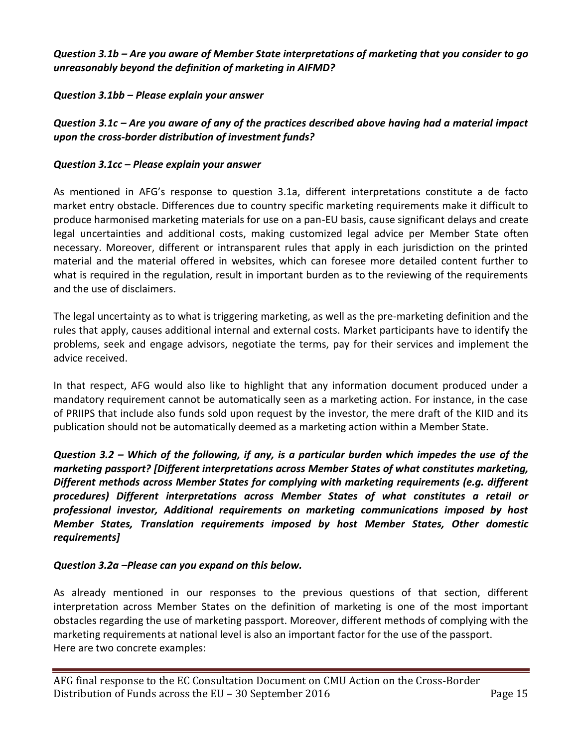*Question 3.1b – Are you aware of Member State interpretations of marketing that you consider to go unreasonably beyond the definition of marketing in AIFMD?* 

#### *Question 3.1bb – Please explain your answer*

*Question 3.1c – Are you aware of any of the practices described above having had a material impact upon the cross-border distribution of investment funds?* 

#### *Question 3.1cc – Please explain your answer*

As mentioned in AFG's response to question 3.1a, different interpretations constitute a de facto market entry obstacle. Differences due to country specific marketing requirements make it difficult to produce harmonised marketing materials for use on a pan-EU basis, cause significant delays and create legal uncertainties and additional costs, making customized legal advice per Member State often necessary. Moreover, different or intransparent rules that apply in each jurisdiction on the printed material and the material offered in websites, which can foresee more detailed content further to what is required in the regulation, result in important burden as to the reviewing of the requirements and the use of disclaimers.

The legal uncertainty as to what is triggering marketing, as well as the pre-marketing definition and the rules that apply, causes additional internal and external costs. Market participants have to identify the problems, seek and engage advisors, negotiate the terms, pay for their services and implement the advice received.

In that respect, AFG would also like to highlight that any information document produced under a mandatory requirement cannot be automatically seen as a marketing action. For instance, in the case of PRIIPS that include also funds sold upon request by the investor, the mere draft of the KIID and its publication should not be automatically deemed as a marketing action within a Member State.

*Question 3.2 – Which of the following, if any, is a particular burden which impedes the use of the marketing passport? [Different interpretations across Member States of what constitutes marketing, Different methods across Member States for complying with marketing requirements (e.g. different procedures) Different interpretations across Member States of what constitutes a retail or professional investor, Additional requirements on marketing communications imposed by host Member States, Translation requirements imposed by host Member States, Other domestic requirements]* 

#### *Question 3.2a –Please can you expand on this below.*

As already mentioned in our responses to the previous questions of that section, different interpretation across Member States on the definition of marketing is one of the most important obstacles regarding the use of marketing passport. Moreover, different methods of complying with the marketing requirements at national level is also an important factor for the use of the passport. Here are two concrete examples: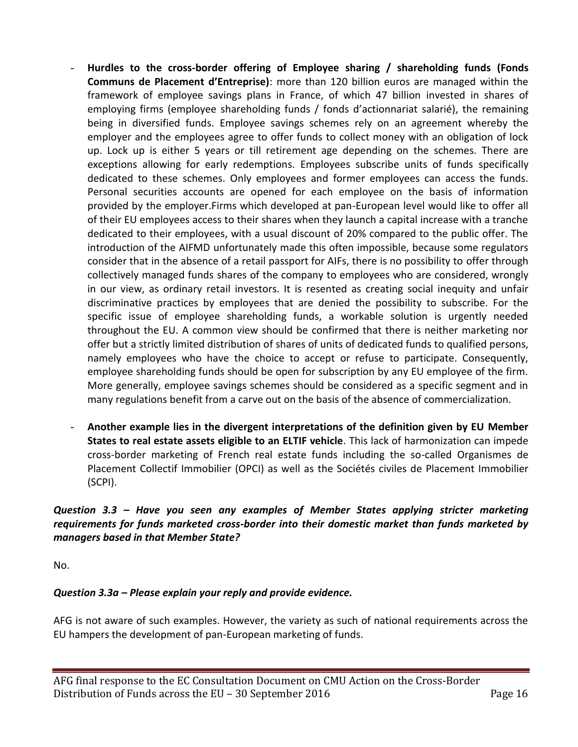- **Hurdles to the cross-border offering of Employee sharing / shareholding funds (Fonds Communs de Placement d'Entreprise)**: more than 120 billion euros are managed within the framework of employee savings plans in France, of which 47 billion invested in shares of employing firms (employee shareholding funds / fonds d'actionnariat salarié), the remaining being in diversified funds. Employee savings schemes rely on an agreement whereby the employer and the employees agree to offer funds to collect money with an obligation of lock up. Lock up is either 5 years or till retirement age depending on the schemes. There are exceptions allowing for early redemptions. Employees subscribe units of funds specifically dedicated to these schemes. Only employees and former employees can access the funds. Personal securities accounts are opened for each employee on the basis of information provided by the employer.Firms which developed at pan-European level would like to offer all of their EU employees access to their shares when they launch a capital increase with a tranche dedicated to their employees, with a usual discount of 20% compared to the public offer. The introduction of the AIFMD unfortunately made this often impossible, because some regulators consider that in the absence of a retail passport for AIFs, there is no possibility to offer through collectively managed funds shares of the company to employees who are considered, wrongly in our view, as ordinary retail investors. It is resented as creating social inequity and unfair discriminative practices by employees that are denied the possibility to subscribe. For the specific issue of employee shareholding funds, a workable solution is urgently needed throughout the EU. A common view should be confirmed that there is neither marketing nor offer but a strictly limited distribution of shares of units of dedicated funds to qualified persons, namely employees who have the choice to accept or refuse to participate. Consequently, employee shareholding funds should be open for subscription by any EU employee of the firm. More generally, employee savings schemes should be considered as a specific segment and in many regulations benefit from a carve out on the basis of the absence of commercialization.
- **Another example lies in the divergent interpretations of the definition given by EU Member States to real estate assets eligible to an ELTIF vehicle**. This lack of harmonization can impede cross-border marketing of French real estate funds including the so-called Organismes de Placement Collectif Immobilier (OPCI) as well as the Sociétés civiles de Placement Immobilier (SCPI).

## *Question 3.3 – Have you seen any examples of Member States applying stricter marketing requirements for funds marketed cross-border into their domestic market than funds marketed by managers based in that Member State?*

No.

# *Question 3.3a – Please explain your reply and provide evidence.*

AFG is not aware of such examples. However, the variety as such of national requirements across the EU hampers the development of pan-European marketing of funds.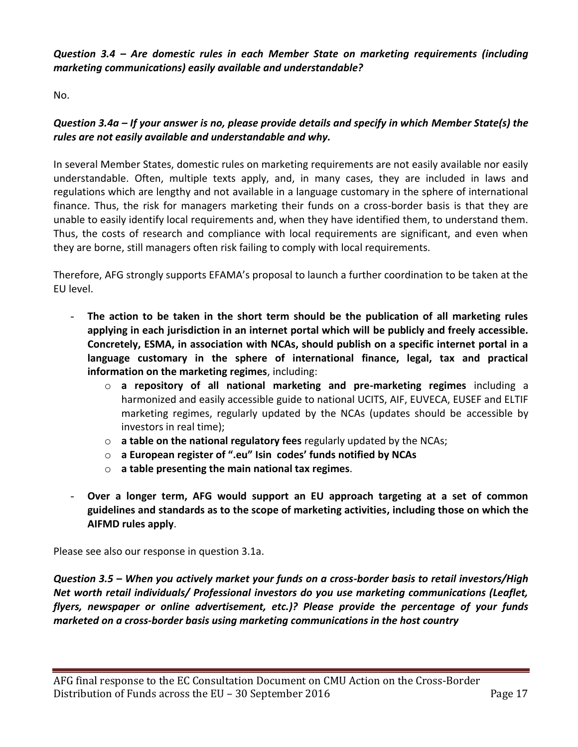*Question 3.4 – Are domestic rules in each Member State on marketing requirements (including marketing communications) easily available and understandable?* 

No.

## *Question 3.4a – If your answer is no, please provide details and specify in which Member State(s) the rules are not easily available and understandable and why.*

In several Member States, domestic rules on marketing requirements are not easily available nor easily understandable. Often, multiple texts apply, and, in many cases, they are included in laws and regulations which are lengthy and not available in a language customary in the sphere of international finance. Thus, the risk for managers marketing their funds on a cross-border basis is that they are unable to easily identify local requirements and, when they have identified them, to understand them. Thus, the costs of research and compliance with local requirements are significant, and even when they are borne, still managers often risk failing to comply with local requirements.

Therefore, AFG strongly supports EFAMA's proposal to launch a further coordination to be taken at the EU level.

- The action to be taken in the short term should be the publication of all marketing rules **applying in each jurisdiction in an internet portal which will be publicly and freely accessible. Concretely, ESMA, in association with NCAs, should publish on a specific internet portal in a language customary in the sphere of international finance, legal, tax and practical information on the marketing regimes**, including:
	- o **a repository of all national marketing and pre-marketing regimes** including a harmonized and easily accessible guide to national UCITS, AIF, EUVECA, EUSEF and ELTIF marketing regimes, regularly updated by the NCAs (updates should be accessible by investors in real time);
	- o **a table on the national regulatory fees** regularly updated by the NCAs;
	- o **a European register of ".eu" Isin codes' funds notified by NCAs**
	- o **a table presenting the main national tax regimes**.
- **Over a longer term, AFG would support an EU approach targeting at a set of common guidelines and standards as to the scope of marketing activities, including those on which the AIFMD rules apply**.

Please see also our response in question 3.1a.

*Question 3.5 – When you actively market your funds on a cross-border basis to retail investors/High Net worth retail individuals/ Professional investors do you use marketing communications (Leaflet, flyers, newspaper or online advertisement, etc.)? Please provide the percentage of your funds marketed on a cross-border basis using marketing communications in the host country*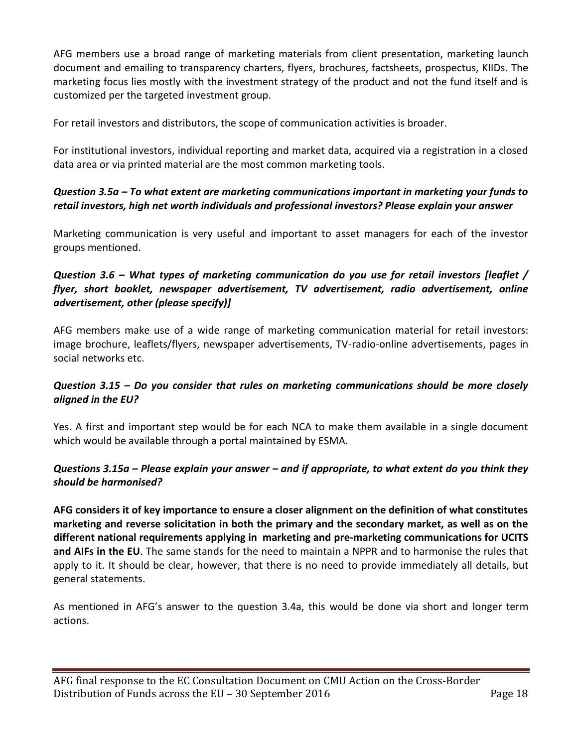AFG members use a broad range of marketing materials from client presentation, marketing launch document and emailing to transparency charters, flyers, brochures, factsheets, prospectus, KIIDs. The marketing focus lies mostly with the investment strategy of the product and not the fund itself and is customized per the targeted investment group.

For retail investors and distributors, the scope of communication activities is broader.

For institutional investors, individual reporting and market data, acquired via a registration in a closed data area or via printed material are the most common marketing tools.

## *Question 3.5a – To what extent are marketing communications important in marketing your funds to retail investors, high net worth individuals and professional investors? Please explain your answer*

Marketing communication is very useful and important to asset managers for each of the investor groups mentioned.

## *Question 3.6 – What types of marketing communication do you use for retail investors [leaflet / flyer, short booklet, newspaper advertisement, TV advertisement, radio advertisement, online advertisement, other (please specify)]*

AFG members make use of a wide range of marketing communication material for retail investors: image brochure, leaflets/flyers, newspaper advertisements, TV-radio-online advertisements, pages in social networks etc.

## *Question 3.15 – Do you consider that rules on marketing communications should be more closely aligned in the EU?*

Yes. A first and important step would be for each NCA to make them available in a single document which would be available through a portal maintained by ESMA.

## *Questions 3.15a – Please explain your answer – and if appropriate, to what extent do you think they should be harmonised?*

**AFG considers it of key importance to ensure a closer alignment on the definition of what constitutes marketing and reverse solicitation in both the primary and the secondary market, as well as on the different national requirements applying in marketing and pre-marketing communications for UCITS and AIFs in the EU**. The same stands for the need to maintain a NPPR and to harmonise the rules that apply to it. It should be clear, however, that there is no need to provide immediately all details, but general statements.

As mentioned in AFG's answer to the question 3.4a, this would be done via short and longer term actions.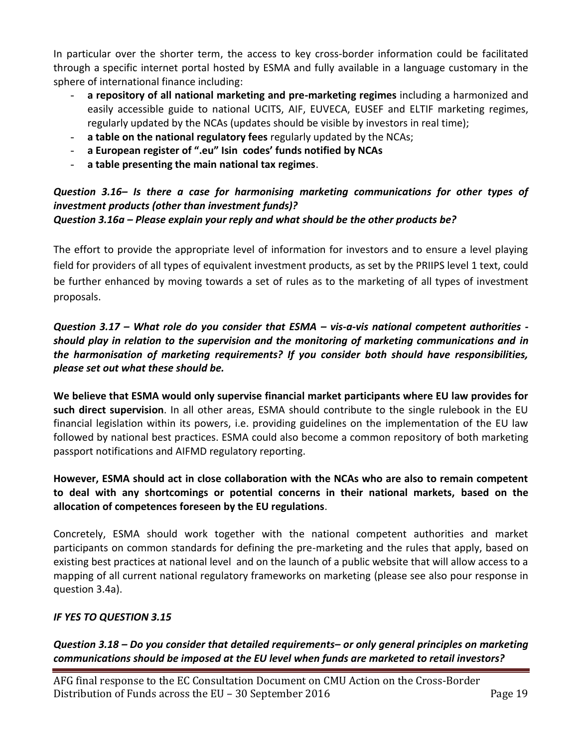In particular over the shorter term, the access to key cross-border information could be facilitated through a specific internet portal hosted by ESMA and fully available in a language customary in the sphere of international finance including:

- **a repository of all national marketing and pre-marketing regimes** including a harmonized and easily accessible guide to national UCITS, AIF, EUVECA, EUSEF and ELTIF marketing regimes, regularly updated by the NCAs (updates should be visible by investors in real time);
- **a table on the national regulatory fees** regularly updated by the NCAs;
- **a European register of ".eu" Isin codes' funds notified by NCAs**
- **a table presenting the main national tax regimes**.

#### *Question 3.16– Is there a case for harmonising marketing communications for other types of investment products (other than investment funds)? Question 3.16a – Please explain your reply and what should be the other products be?*

The effort to provide the appropriate level of information for investors and to ensure a level playing field for providers of all types of equivalent investment products, as set by the PRIIPS level 1 text, could be further enhanced by moving towards a set of rules as to the marketing of all types of investment proposals.

*Question 3.17 – What role do you consider that ESMA – vis-a-vis national competent authorities should play in relation to the supervision and the monitoring of marketing communications and in the harmonisation of marketing requirements? If you consider both should have responsibilities, please set out what these should be.*

**We believe that ESMA would only supervise financial market participants where EU law provides for such direct supervision**. In all other areas, ESMA should contribute to the single rulebook in the EU financial legislation within its powers, i.e. providing guidelines on the implementation of the EU law followed by national best practices. ESMA could also become a common repository of both marketing passport notifications and AIFMD regulatory reporting.

### **However, ESMA should act in close collaboration with the NCAs who are also to remain competent to deal with any shortcomings or potential concerns in their national markets, based on the allocation of competences foreseen by the EU regulations**.

Concretely, ESMA should work together with the national competent authorities and market participants on common standards for defining the pre-marketing and the rules that apply, based on existing best practices at national level and on the launch of a public website that will allow access to a mapping of all current national regulatory frameworks on marketing (please see also pour response in question 3.4a).

#### *IF YES TO QUESTION 3.15*

*Question 3.18 – Do you consider that detailed requirements– or only general principles on marketing communications should be imposed at the EU level when funds are marketed to retail investors?*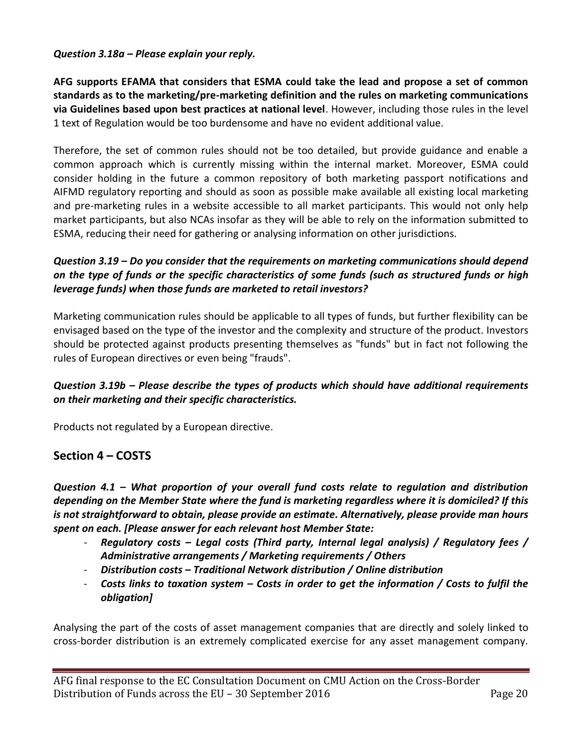#### *Question 3.18a – Please explain your reply.*

**AFG supports EFAMA that considers that ESMA could take the lead and propose a set of common standards as to the marketing/pre-marketing definition and the rules on marketing communications via Guidelines based upon best practices at national level**. However, including those rules in the level 1 text of Regulation would be too burdensome and have no evident additional value.

Therefore, the set of common rules should not be too detailed, but provide guidance and enable a common approach which is currently missing within the internal market. Moreover, ESMA could consider holding in the future a common repository of both marketing passport notifications and AIFMD regulatory reporting and should as soon as possible make available all existing local marketing and pre-marketing rules in a website accessible to all market participants. This would not only help market participants, but also NCAs insofar as they will be able to rely on the information submitted to ESMA, reducing their need for gathering or analysing information on other jurisdictions.

## *Question 3.19 – Do you consider that the requirements on marketing communications should depend on the type of funds or the specific characteristics of some funds (such as structured funds or high leverage funds) when those funds are marketed to retail investors?*

Marketing communication rules should be applicable to all types of funds, but further flexibility can be envisaged based on the type of the investor and the complexity and structure of the product. Investors should be protected against products presenting themselves as "funds" but in fact not following the rules of European directives or even being "frauds".

## *Question 3.19b – Please describe the types of products which should have additional requirements on their marketing and their specific characteristics.*

Products not regulated by a European directive.

## **Section 4 – COSTS**

*Question 4.1 – What proportion of your overall fund costs relate to regulation and distribution depending on the Member State where the fund is marketing regardless where it is domiciled? If this is not straightforward to obtain, please provide an estimate. Alternatively, please provide man hours spent on each. [Please answer for each relevant host Member State:* 

- *Regulatory costs – Legal costs (Third party, Internal legal analysis) / Regulatory fees / Administrative arrangements / Marketing requirements / Others*
- *Distribution costs – Traditional Network distribution / Online distribution*
- *Costs links to taxation system – Costs in order to get the information / Costs to fulfil the obligation]*

Analysing the part of the costs of asset management companies that are directly and solely linked to cross-border distribution is an extremely complicated exercise for any asset management company.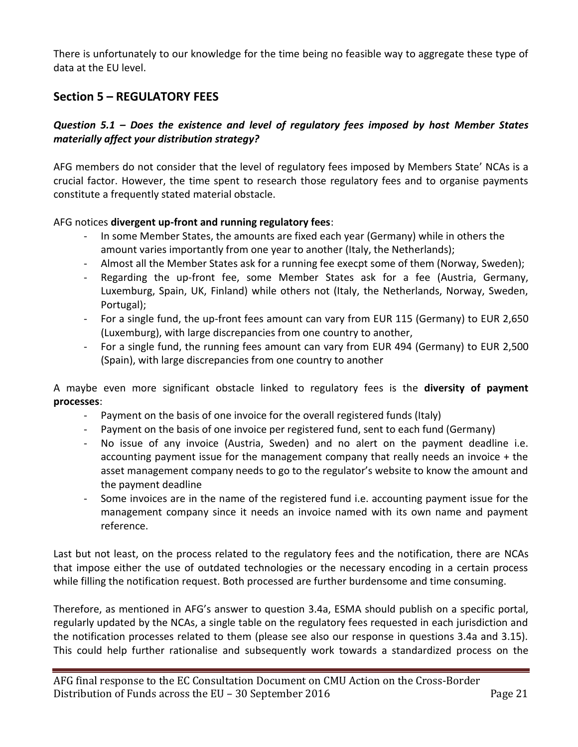There is unfortunately to our knowledge for the time being no feasible way to aggregate these type of data at the EU level.

# **Section 5 – REGULATORY FEES**

## *Question 5.1 – Does the existence and level of regulatory fees imposed by host Member States materially affect your distribution strategy?*

AFG members do not consider that the level of regulatory fees imposed by Members State' NCAs is a crucial factor. However, the time spent to research those regulatory fees and to organise payments constitute a frequently stated material obstacle.

#### AFG notices **divergent up-front and running regulatory fees**:

- In some Member States, the amounts are fixed each year (Germany) while in others the amount varies importantly from one year to another (Italy, the Netherlands);
- Almost all the Member States ask for a running fee execpt some of them (Norway, Sweden);
- Regarding the up-front fee, some Member States ask for a fee (Austria, Germany, Luxemburg, Spain, UK, Finland) while others not (Italy, the Netherlands, Norway, Sweden, Portugal);
- For a single fund, the up-front fees amount can vary from EUR 115 (Germany) to EUR 2,650 (Luxemburg), with large discrepancies from one country to another,
- For a single fund, the running fees amount can vary from EUR 494 (Germany) to EUR 2,500 (Spain), with large discrepancies from one country to another

A maybe even more significant obstacle linked to regulatory fees is the **diversity of payment processes**:

- Payment on the basis of one invoice for the overall registered funds (Italy)
- Payment on the basis of one invoice per registered fund, sent to each fund (Germany)
- No issue of any invoice (Austria, Sweden) and no alert on the payment deadline i.e. accounting payment issue for the management company that really needs an invoice  $+$  the asset management company needs to go to the regulator's website to know the amount and the payment deadline
- Some invoices are in the name of the registered fund i.e. accounting payment issue for the management company since it needs an invoice named with its own name and payment reference.

Last but not least, on the process related to the regulatory fees and the notification, there are NCAs that impose either the use of outdated technologies or the necessary encoding in a certain process while filling the notification request. Both processed are further burdensome and time consuming.

Therefore, as mentioned in AFG's answer to question 3.4a, ESMA should publish on a specific portal, regularly updated by the NCAs, a single table on the regulatory fees requested in each jurisdiction and the notification processes related to them (please see also our response in questions 3.4a and 3.15). This could help further rationalise and subsequently work towards a standardized process on the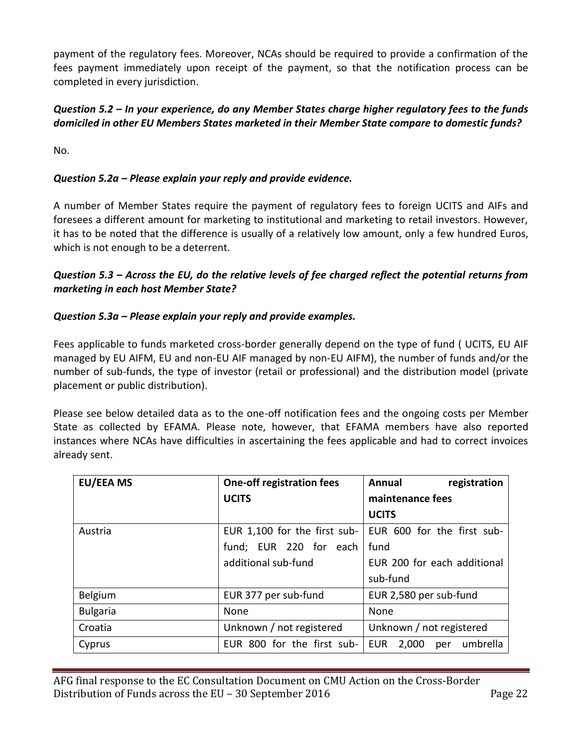payment of the regulatory fees. Moreover, NCAs should be required to provide a confirmation of the fees payment immediately upon receipt of the payment, so that the notification process can be completed in every jurisdiction.

## *Question 5.2 – In your experience, do any Member States charge higher regulatory fees to the funds domiciled in other EU Members States marketed in their Member State compare to domestic funds?*

No.

## *Question 5.2a – Please explain your reply and provide evidence.*

A number of Member States require the payment of regulatory fees to foreign UCITS and AIFs and foresees a different amount for marketing to institutional and marketing to retail investors. However, it has to be noted that the difference is usually of a relatively low amount, only a few hundred Euros, which is not enough to be a deterrent.

## *Question 5.3 – Across the EU, do the relative levels of fee charged reflect the potential returns from marketing in each host Member State?*

#### *Question 5.3a – Please explain your reply and provide examples.*

Fees applicable to funds marketed cross-border generally depend on the type of fund ( UCITS, EU AIF managed by EU AIFM, EU and non-EU AIF managed by non-EU AIFM), the number of funds and/or the number of sub-funds, the type of investor (retail or professional) and the distribution model (private placement or public distribution).

Please see below detailed data as to the one-off notification fees and the ongoing costs per Member State as collected by EFAMA. Please note, however, that EFAMA members have also reported instances where NCAs have difficulties in ascertaining the fees applicable and had to correct invoices already sent.

| <b>EU/EEA MS</b> | <b>One-off registration fees</b> | registration<br>Annual                 |  |  |  |
|------------------|----------------------------------|----------------------------------------|--|--|--|
|                  | <b>UCITS</b>                     | maintenance fees                       |  |  |  |
|                  |                                  | <b>UCITS</b>                           |  |  |  |
| Austria          | EUR 1,100 for the first sub-     | EUR 600 for the first sub-             |  |  |  |
|                  | fund; EUR 220 for each           | fund                                   |  |  |  |
|                  | additional sub-fund              | EUR 200 for each additional            |  |  |  |
|                  |                                  | sub-fund                               |  |  |  |
| Belgium          | EUR 377 per sub-fund             | EUR 2,580 per sub-fund                 |  |  |  |
| <b>Bulgaria</b>  | None                             | None                                   |  |  |  |
| Croatia          | Unknown / not registered         | Unknown / not registered               |  |  |  |
| Cyprus           | EUR 800 for the first sub-       | umbrella<br><b>EUR</b><br>2,000<br>per |  |  |  |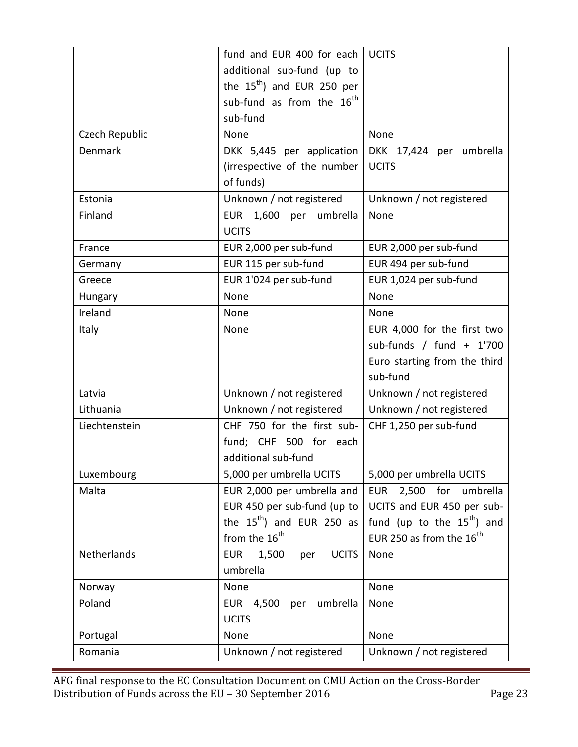| fund and EUR 400 for each                  | <b>UCITS</b>                         |  |  |
|--------------------------------------------|--------------------------------------|--|--|
| additional sub-fund (up to                 |                                      |  |  |
| the $15^{th}$ ) and EUR 250 per            |                                      |  |  |
| sub-fund as from the 16 <sup>th</sup>      |                                      |  |  |
| sub-fund                                   |                                      |  |  |
| None                                       | None                                 |  |  |
| DKK 5,445 per application                  | DKK 17,424 per umbrella              |  |  |
| (irrespective of the number                | <b>UCITS</b>                         |  |  |
| of funds)                                  |                                      |  |  |
| Unknown / not registered                   | Unknown / not registered             |  |  |
| EUR 1,600 per<br>umbrella                  | None                                 |  |  |
| <b>UCITS</b>                               |                                      |  |  |
| EUR 2,000 per sub-fund                     | EUR 2,000 per sub-fund               |  |  |
| EUR 115 per sub-fund                       | EUR 494 per sub-fund                 |  |  |
| EUR 1'024 per sub-fund                     | EUR 1,024 per sub-fund               |  |  |
| None                                       | None                                 |  |  |
| None                                       | None                                 |  |  |
| None                                       | EUR 4,000 for the first two          |  |  |
|                                            | sub-funds / fund $+1'700$            |  |  |
|                                            | Euro starting from the third         |  |  |
|                                            | sub-fund                             |  |  |
| Unknown / not registered                   | Unknown / not registered             |  |  |
| Unknown / not registered                   | Unknown / not registered             |  |  |
| CHF 750 for the first sub-                 | CHF 1,250 per sub-fund               |  |  |
| fund; CHF 500 for each                     |                                      |  |  |
| additional sub-fund                        |                                      |  |  |
| 5,000 per umbrella UCITS                   | 5,000 per umbrella UCITS             |  |  |
| EUR 2,000 per umbrella and                 | EUR 2,500 for umbrella               |  |  |
| EUR 450 per sub-fund (up to                | UCITS and EUR 450 per sub-           |  |  |
| the $15^{th}$ ) and EUR 250 as             | fund (up to the $15^{th}$ ) and      |  |  |
| from the 16 <sup>th</sup>                  | EUR 250 as from the 16 <sup>th</sup> |  |  |
| 1,500<br><b>UCITS</b><br><b>EUR</b><br>per | None                                 |  |  |
| umbrella                                   |                                      |  |  |
| None                                       | None                                 |  |  |
| umbrella<br>EUR 4,500<br>per               | None                                 |  |  |
| <b>UCITS</b>                               |                                      |  |  |
| None                                       | None                                 |  |  |
| Unknown / not registered                   | Unknown / not registered             |  |  |
|                                            |                                      |  |  |

AFG final response to the EC Consultation Document on CMU Action on the Cross-Border Distribution of Funds across the EU - 30 September 2016 Page 23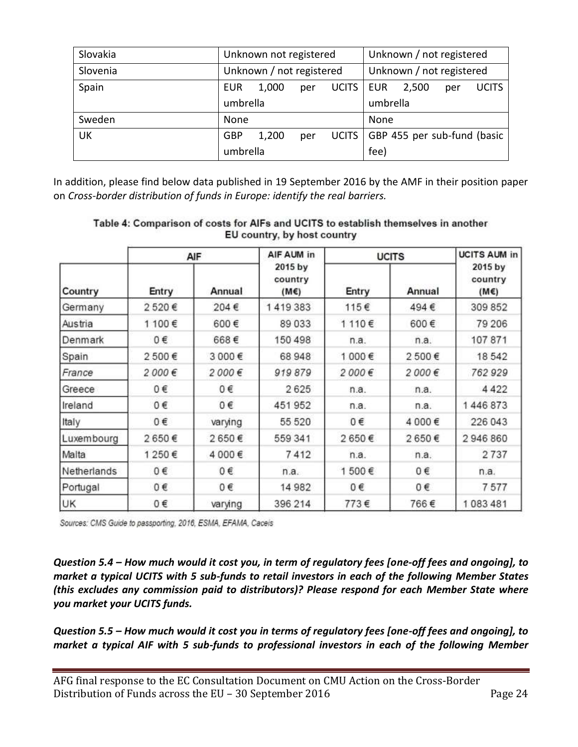| Slovakia  | Unknown not registered   |       |     |              | Unknown / not registered    |       |     |              |
|-----------|--------------------------|-------|-----|--------------|-----------------------------|-------|-----|--------------|
| Slovenia  | Unknown / not registered |       |     |              | Unknown / not registered    |       |     |              |
| Spain     | <b>EUR</b>               | 1,000 | per | <b>UCITS</b> | <b>EUR</b>                  | 2,500 | per | <b>UCITS</b> |
|           | umbrella                 |       |     |              | umbrella                    |       |     |              |
| Sweden    | None                     |       |     |              | None                        |       |     |              |
| <b>UK</b> | GBP                      | 1,200 | per | <b>UCITS</b> | GBP 455 per sub-fund (basic |       |     |              |
|           | umbrella                 |       |     | fee)         |                             |       |     |              |

In addition, please find below data published in 19 September 2016 by the AMF in their position paper on *Cross-border distribution of funds in Europe: identify the real barriers.*

| Country     | AIF   |         | AIF AUM in                       | <b>UCITS</b> |        | <b>UCITS AUM in</b>        |
|-------------|-------|---------|----------------------------------|--------------|--------|----------------------------|
|             | Entry | Annual  | 2015 by<br>country<br>$(M \in )$ | Entry        | Annual | 2015 by<br>country<br>(M€) |
| Germany     | 2520€ | 204€    | 1419383                          | 115€         | 494€   | 309 852                    |
| Austria     | 1100€ | 600€    | 89033                            | 1110€        | 600€   | 79 206                     |
| Denmark     | 0€    | 668€    | 150 498                          | n.a.         | n.a.   | 107871                     |
| Spain       | 2500€ | 3 000€  | 68 948                           | 1 000€       | 2500€  | 18542                      |
| France      | 2000€ | 2000€   | 919879                           | 2000€        | 2000€  | 762929                     |
| Greece      | 0€    | 0€      | 2625                             | n.a.         | n.a.   | 4422                       |
| Ireland     | 0€    | 0€      | 451952                           | n.a.         | n.a.   | 1446873                    |
| Italy       | 0€    | varying | 55 520                           | 0€           | 4 000€ | 226 043                    |
| Luxembourg  | 2650€ | 2650€   | 559 341                          | 2650€        | 2650€  | 2946860                    |
| Malta       | 1250€ | 4 000€  | 7412                             | n.a.         | n.a.   | 2737                       |
| Netherlands | 0€    | 0€      | n.a.                             | 1500€        | 0€     | n.a.                       |
| Portugal    | 0€    | 0€      | 14 982                           | 0€           | 0€     | 7577                       |
| UK          | 0€    | varying | 396 214                          | 773€         | 766€   | 1083481                    |

#### Table 4: Comparison of costs for AIFs and UCITS to establish themselves in another EU country, by host country

Sources: CMS Guide to passporting, 2016, ESMA, EFAMA, Cacels

*Question 5.4 – How much would it cost you, in term of regulatory fees [one-off fees and ongoing], to market a typical UCITS with 5 sub-funds to retail investors in each of the following Member States (this excludes any commission paid to distributors)? Please respond for each Member State where you market your UCITS funds.*

*Question 5.5 – How much would it cost you in terms of regulatory fees [one-off fees and ongoing], to market a typical AIF with 5 sub-funds to professional investors in each of the following Member*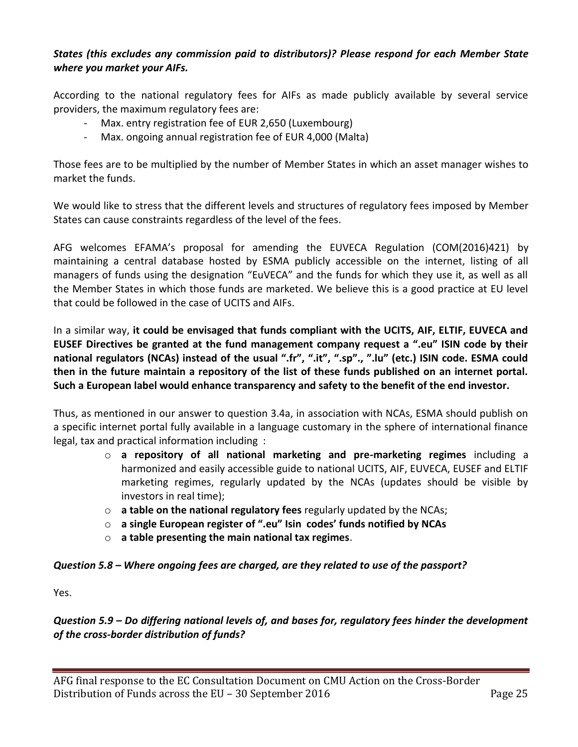## *States (this excludes any commission paid to distributors)? Please respond for each Member State where you market your AIFs.*

According to the national regulatory fees for AIFs as made publicly available by several service providers, the maximum regulatory fees are:

- Max. entry registration fee of EUR 2,650 (Luxembourg)
- Max. ongoing annual registration fee of EUR 4,000 (Malta)

Those fees are to be multiplied by the number of Member States in which an asset manager wishes to market the funds.

We would like to stress that the different levels and structures of regulatory fees imposed by Member States can cause constraints regardless of the level of the fees.

AFG welcomes EFAMA's proposal for amending the EUVECA Regulation (COM(2016)421) by maintaining a central database hosted by ESMA publicly accessible on the internet, listing of all managers of funds using the designation "EuVECA" and the funds for which they use it, as well as all the Member States in which those funds are marketed. We believe this is a good practice at EU level that could be followed in the case of UCITS and AIFs.

In a similar way, **it could be envisaged that funds compliant with the UCITS, AIF, ELTIF, EUVECA and EUSEF Directives be granted at the fund management company request a ".eu" ISIN code by their national regulators (NCAs) instead of the usual ".fr", ".it", ".sp"., ".lu" (etc.) ISIN code. ESMA could then in the future maintain a repository of the list of these funds published on an internet portal. Such a European label would enhance transparency and safety to the benefit of the end investor.**

Thus, as mentioned in our answer to question 3.4a, in association with NCAs, ESMA should publish on a specific internet portal fully available in a language customary in the sphere of international finance legal, tax and practical information including :

- o **a repository of all national marketing and pre-marketing regimes** including a harmonized and easily accessible guide to national UCITS, AIF, EUVECA, EUSEF and ELTIF marketing regimes, regularly updated by the NCAs (updates should be visible by investors in real time);
- o **a table on the national regulatory fees** regularly updated by the NCAs;
- o **a single European register of ".eu" Isin codes' funds notified by NCAs**
- o **a table presenting the main national tax regimes**.

#### *Question 5.8 – Where ongoing fees are charged, are they related to use of the passport?*

Yes.

## *Question 5.9 – Do differing national levels of, and bases for, regulatory fees hinder the development of the cross-border distribution of funds?*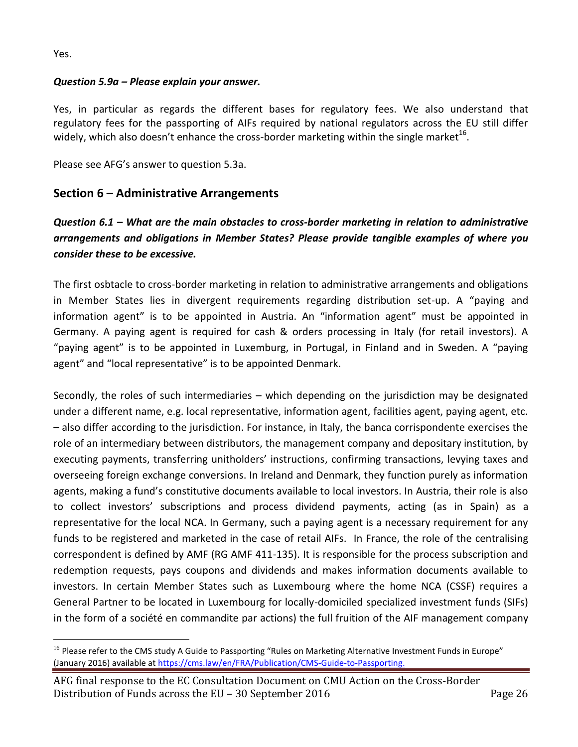Yes.

 $\overline{a}$ 

## *Question 5.9a – Please explain your answer.*

Yes, in particular as regards the different bases for regulatory fees. We also understand that regulatory fees for the passporting of AIFs required by national regulators across the EU still differ widely, which also doesn't enhance the cross-border marketing within the single market $^{16}$ .

Please see AFG's answer to question 5.3a.

## **Section 6 – Administrative Arrangements**

# *Question 6.1 – What are the main obstacles to cross-border marketing in relation to administrative arrangements and obligations in Member States? Please provide tangible examples of where you consider these to be excessive.*

The first osbtacle to cross-border marketing in relation to administrative arrangements and obligations in Member States lies in divergent requirements regarding distribution set-up. A "paying and information agent" is to be appointed in Austria. An "information agent" must be appointed in Germany. A paying agent is required for cash & orders processing in Italy (for retail investors). A "paying agent" is to be appointed in Luxemburg, in Portugal, in Finland and in Sweden. A "paying agent" and "local representative" is to be appointed Denmark.

Secondly, the roles of such intermediaries – which depending on the jurisdiction may be designated under a different name, e.g. local representative, information agent, facilities agent, paying agent, etc. – also differ according to the jurisdiction. For instance, in Italy, the banca corrispondente exercises the role of an intermediary between distributors, the management company and depositary institution, by executing payments, transferring unitholders' instructions, confirming transactions, levying taxes and overseeing foreign exchange conversions. In Ireland and Denmark, they function purely as information agents, making a fund's constitutive documents available to local investors. In Austria, their role is also to collect investors' subscriptions and process dividend payments, acting (as in Spain) as a representative for the local NCA. In Germany, such a paying agent is a necessary requirement for any funds to be registered and marketed in the case of retail AIFs. In France, the role of the centralising correspondent is defined by AMF (RG AMF 411-135). It is responsible for the process subscription and redemption requests, pays coupons and dividends and makes information documents available to investors. In certain Member States such as Luxembourg where the home NCA (CSSF) requires a General Partner to be located in Luxembourg for locally-domiciled specialized investment funds (SIFs) in the form of a société en commandite par actions) the full fruition of the AIF management company

<sup>&</sup>lt;sup>16</sup> Please refer to the CMS study A Guide to Passporting "Rules on Marketing Alternative Investment Funds in Europe" (January 2016) available a[t https://cms.law/en/FRA/Publication/CMS-Guide-to-Passporting.](https://cms.law/en/FRA/Publication/CMS-Guide-to-Passporting)

AFG final response to the EC Consultation Document on CMU Action on the Cross-Border Distribution of Funds across the EU – 30 September 2016 Page 26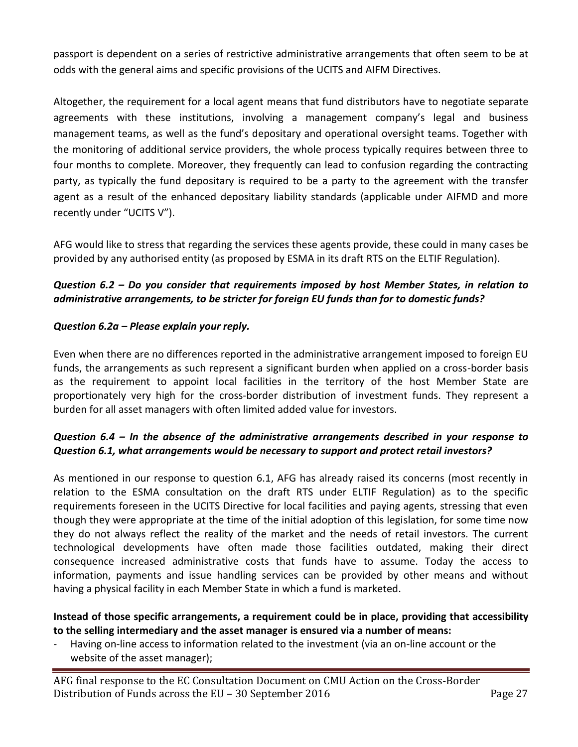passport is dependent on a series of restrictive administrative arrangements that often seem to be at odds with the general aims and specific provisions of the UCITS and AIFM Directives.

Altogether, the requirement for a local agent means that fund distributors have to negotiate separate agreements with these institutions, involving a management company's legal and business management teams, as well as the fund's depositary and operational oversight teams. Together with the monitoring of additional service providers, the whole process typically requires between three to four months to complete. Moreover, they frequently can lead to confusion regarding the contracting party, as typically the fund depositary is required to be a party to the agreement with the transfer agent as a result of the enhanced depositary liability standards (applicable under AIFMD and more recently under "UCITS V").

AFG would like to stress that regarding the services these agents provide, these could in many cases be provided by any authorised entity (as proposed by ESMA in its draft RTS on the ELTIF Regulation).

## *Question 6.2 – Do you consider that requirements imposed by host Member States, in relation to administrative arrangements, to be stricter for foreign EU funds than for to domestic funds?*

#### *Question 6.2a – Please explain your reply.*

Even when there are no differences reported in the administrative arrangement imposed to foreign EU funds, the arrangements as such represent a significant burden when applied on a cross-border basis as the requirement to appoint local facilities in the territory of the host Member State are proportionately very high for the cross-border distribution of investment funds. They represent a burden for all asset managers with often limited added value for investors.

#### *Question 6.4 – In the absence of the administrative arrangements described in your response to Question 6.1, what arrangements would be necessary to support and protect retail investors?*

As mentioned in our response to question 6.1, AFG has already raised its concerns (most recently in relation to the ESMA consultation on the draft RTS under ELTIF Regulation) as to the specific requirements foreseen in the UCITS Directive for local facilities and paying agents, stressing that even though they were appropriate at the time of the initial adoption of this legislation, for some time now they do not always reflect the reality of the market and the needs of retail investors. The current technological developments have often made those facilities outdated, making their direct consequence increased administrative costs that funds have to assume. Today the access to information, payments and issue handling services can be provided by other means and without having a physical facility in each Member State in which a fund is marketed.

#### **Instead of those specific arrangements, a requirement could be in place, providing that accessibility to the selling intermediary and the asset manager is ensured via a number of means:**

- Having on-line access to information related to the investment (via an on-line account or the website of the asset manager);

AFG final response to the EC Consultation Document on CMU Action on the Cross-Border Distribution of Funds across the EU – 30 September 2016 Page 27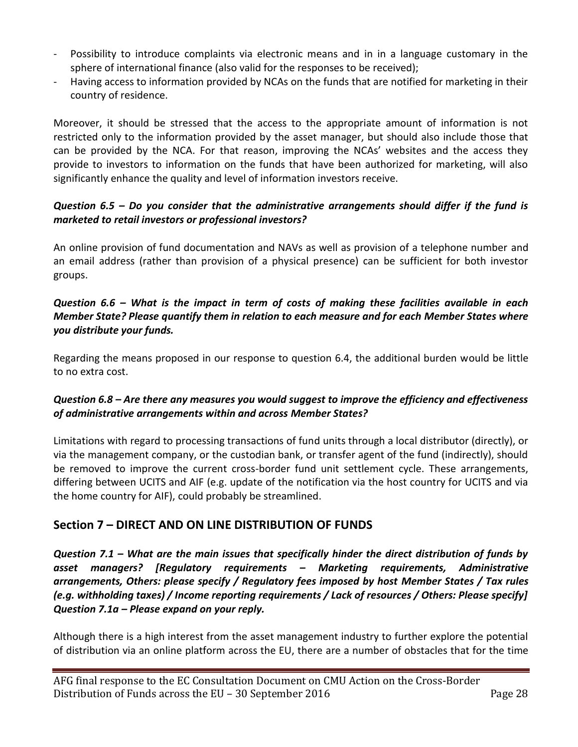- Possibility to introduce complaints via electronic means and in in a language customary in the sphere of international finance (also valid for the responses to be received);
- Having access to information provided by NCAs on the funds that are notified for marketing in their country of residence.

Moreover, it should be stressed that the access to the appropriate amount of information is not restricted only to the information provided by the asset manager, but should also include those that can be provided by the NCA. For that reason, improving the NCAs' websites and the access they provide to investors to information on the funds that have been authorized for marketing, will also significantly enhance the quality and level of information investors receive.

## *Question 6.5 – Do you consider that the administrative arrangements should differ if the fund is marketed to retail investors or professional investors?*

An online provision of fund documentation and NAVs as well as provision of a telephone number and an email address (rather than provision of a physical presence) can be sufficient for both investor groups.

## *Question 6.6 – What is the impact in term of costs of making these facilities available in each Member State? Please quantify them in relation to each measure and for each Member States where you distribute your funds.*

Regarding the means proposed in our response to question 6.4, the additional burden would be little to no extra cost.

## *Question 6.8 – Are there any measures you would suggest to improve the efficiency and effectiveness of administrative arrangements within and across Member States?*

Limitations with regard to processing transactions of fund units through a local distributor (directly), or via the management company, or the custodian bank, or transfer agent of the fund (indirectly), should be removed to improve the current cross-border fund unit settlement cycle. These arrangements, differing between UCITS and AIF (e.g. update of the notification via the host country for UCITS and via the home country for AIF), could probably be streamlined.

# **Section 7 – DIRECT AND ON LINE DISTRIBUTION OF FUNDS**

*Question 7.1 – What are the main issues that specifically hinder the direct distribution of funds by asset managers? [Regulatory requirements – Marketing requirements, Administrative arrangements, Others: please specify / Regulatory fees imposed by host Member States / Tax rules (e.g. withholding taxes) / Income reporting requirements / Lack of resources / Others: Please specify] Question 7.1a – Please expand on your reply.*

Although there is a high interest from the asset management industry to further explore the potential of distribution via an online platform across the EU, there are a number of obstacles that for the time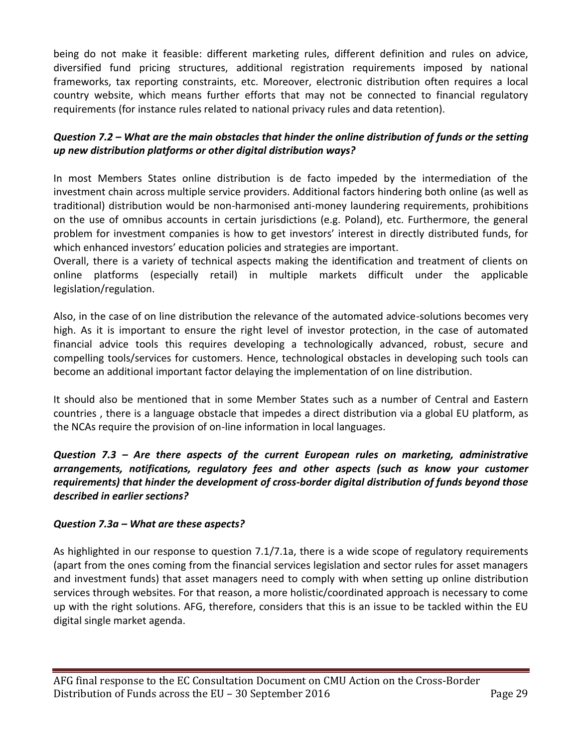being do not make it feasible: different marketing rules, different definition and rules on advice, diversified fund pricing structures, additional registration requirements imposed by national frameworks, tax reporting constraints, etc. Moreover, electronic distribution often requires a local country website, which means further efforts that may not be connected to financial regulatory requirements (for instance rules related to national privacy rules and data retention).

## *Question 7.2 – What are the main obstacles that hinder the online distribution of funds or the setting up new distribution platforms or other digital distribution ways?*

In most Members States online distribution is de facto impeded by the intermediation of the investment chain across multiple service providers. Additional factors hindering both online (as well as traditional) distribution would be non-harmonised anti-money laundering requirements, prohibitions on the use of omnibus accounts in certain jurisdictions (e.g. Poland), etc. Furthermore, the general problem for investment companies is how to get investors' interest in directly distributed funds, for which enhanced investors' education policies and strategies are important.

Overall, there is a variety of technical aspects making the identification and treatment of clients on online platforms (especially retail) in multiple markets difficult under the applicable legislation/regulation.

Also, in the case of on line distribution the relevance of the automated advice-solutions becomes very high. As it is important to ensure the right level of investor protection, in the case of automated financial advice tools this requires developing a technologically advanced, robust, secure and compelling tools/services for customers. Hence, technological obstacles in developing such tools can become an additional important factor delaying the implementation of on line distribution.

It should also be mentioned that in some Member States such as a number of Central and Eastern countries , there is a language obstacle that impedes a direct distribution via a global EU platform, as the NCAs require the provision of on-line information in local languages.

*Question 7.3 – Are there aspects of the current European rules on marketing, administrative arrangements, notifications, regulatory fees and other aspects (such as know your customer requirements) that hinder the development of cross-border digital distribution of funds beyond those described in earlier sections?*

#### *Question 7.3a – What are these aspects?*

As highlighted in our response to question 7.1/7.1a, there is a wide scope of regulatory requirements (apart from the ones coming from the financial services legislation and sector rules for asset managers and investment funds) that asset managers need to comply with when setting up online distribution services through websites. For that reason, a more holistic/coordinated approach is necessary to come up with the right solutions. AFG, therefore, considers that this is an issue to be tackled within the EU digital single market agenda.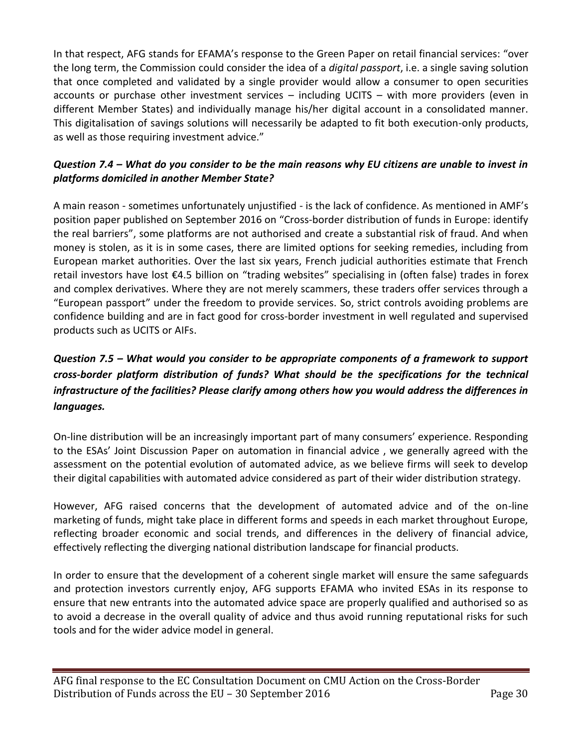In that respect, AFG stands for EFAMA's response to the Green Paper on retail financial services: "over the long term, the Commission could consider the idea of a *digital passport*, i.e. a single saving solution that once completed and validated by a single provider would allow a consumer to open securities accounts or purchase other investment services – including UCITS – with more providers (even in different Member States) and individually manage his/her digital account in a consolidated manner. This digitalisation of savings solutions will necessarily be adapted to fit both execution-only products, as well as those requiring investment advice."

## *Question 7.4 – What do you consider to be the main reasons why EU citizens are unable to invest in platforms domiciled in another Member State?*

A main reason - sometimes unfortunately unjustified - is the lack of confidence. As mentioned in AMF's position paper published on September 2016 on "Cross-border distribution of funds in Europe: identify the real barriers", some platforms are not authorised and create a substantial risk of fraud. And when money is stolen, as it is in some cases, there are limited options for seeking remedies, including from European market authorities. Over the last six years, French judicial authorities estimate that French retail investors have lost €4.5 billion on "trading websites" specialising in (often false) trades in forex and complex derivatives. Where they are not merely scammers, these traders offer services through a "European passport" under the freedom to provide services. So, strict controls avoiding problems are confidence building and are in fact good for cross-border investment in well regulated and supervised products such as UCITS or AIFs.

# *Question 7.5 – What would you consider to be appropriate components of a framework to support cross-border platform distribution of funds? What should be the specifications for the technical infrastructure of the facilities? Please clarify among others how you would address the differences in languages.*

On-line distribution will be an increasingly important part of many consumers' experience. Responding to the ESAs' Joint Discussion Paper on automation in financial advice , we generally agreed with the assessment on the potential evolution of automated advice, as we believe firms will seek to develop their digital capabilities with automated advice considered as part of their wider distribution strategy.

However, AFG raised concerns that the development of automated advice and of the on-line marketing of funds, might take place in different forms and speeds in each market throughout Europe, reflecting broader economic and social trends, and differences in the delivery of financial advice, effectively reflecting the diverging national distribution landscape for financial products.

In order to ensure that the development of a coherent single market will ensure the same safeguards and protection investors currently enjoy, AFG supports EFAMA who invited ESAs in its response to ensure that new entrants into the automated advice space are properly qualified and authorised so as to avoid a decrease in the overall quality of advice and thus avoid running reputational risks for such tools and for the wider advice model in general.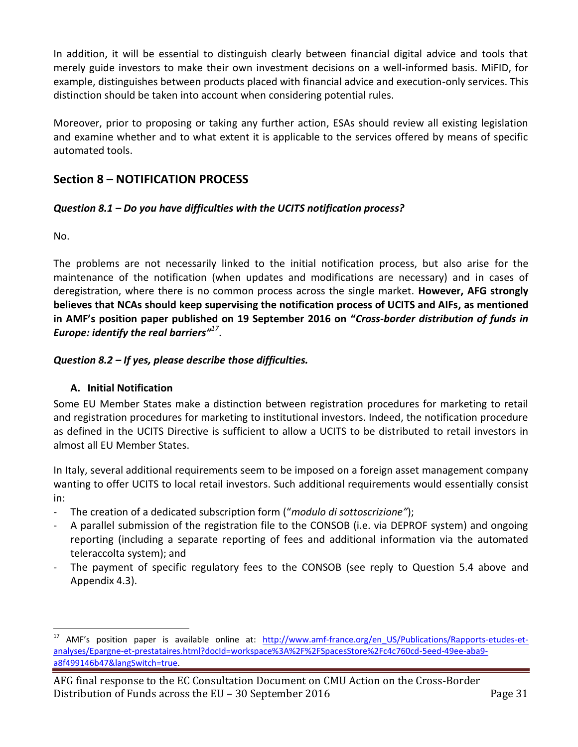In addition, it will be essential to distinguish clearly between financial digital advice and tools that merely guide investors to make their own investment decisions on a well-informed basis. MiFID, for example, distinguishes between products placed with financial advice and execution-only services. This distinction should be taken into account when considering potential rules.

Moreover, prior to proposing or taking any further action, ESAs should review all existing legislation and examine whether and to what extent it is applicable to the services offered by means of specific automated tools.

# **Section 8 – NOTIFICATION PROCESS**

## *Question 8.1 – Do you have difficulties with the UCITS notification process?*

No.

The problems are not necessarily linked to the initial notification process, but also arise for the maintenance of the notification (when updates and modifications are necessary) and in cases of deregistration, where there is no common process across the single market. **However, AFG strongly believes that NCAs should keep supervising the notification process of UCITS and AIFs, as mentioned in AMF's position paper published on 19 September 2016 on "***Cross-border distribution of funds in Europe: identify the real barriers" 17* .

## *Question 8.2 – If yes, please describe those difficulties.*

## **A. Initial Notification**

Some EU Member States make a distinction between registration procedures for marketing to retail and registration procedures for marketing to institutional investors. Indeed, the notification procedure as defined in the UCITS Directive is sufficient to allow a UCITS to be distributed to retail investors in almost all EU Member States.

In Italy, several additional requirements seem to be imposed on a foreign asset management company wanting to offer UCITS to local retail investors. Such additional requirements would essentially consist in:

- The creation of a dedicated subscription form ("*modulo di sottoscrizione"*);
- A parallel submission of the registration file to the CONSOB (i.e. via DEPROF system) and ongoing reporting (including a separate reporting of fees and additional information via the automated teleraccolta system); and
- The payment of specific regulatory fees to the CONSOB (see reply to Question 5.4 above and Appendix 4.3).

 $\overline{a}$ <sup>17</sup> AMF's position paper is available online at: [http://www.amf-france.org/en\\_US/Publications/Rapports-etudes-et](http://www.amf-france.org/en_US/Publications/Rapports-etudes-et-analyses/Epargne-et-prestataires.html?docId=workspace%3A%2F%2FSpacesStore%2Fc4c760cd-5eed-49ee-aba9-a8f499146b47&langSwitch=true)[analyses/Epargne-et-prestataires.html?docId=workspace%3A%2F%2FSpacesStore%2Fc4c760cd-5eed-49ee-aba9](http://www.amf-france.org/en_US/Publications/Rapports-etudes-et-analyses/Epargne-et-prestataires.html?docId=workspace%3A%2F%2FSpacesStore%2Fc4c760cd-5eed-49ee-aba9-a8f499146b47&langSwitch=true) [a8f499146b47&langSwitch=true.](http://www.amf-france.org/en_US/Publications/Rapports-etudes-et-analyses/Epargne-et-prestataires.html?docId=workspace%3A%2F%2FSpacesStore%2Fc4c760cd-5eed-49ee-aba9-a8f499146b47&langSwitch=true)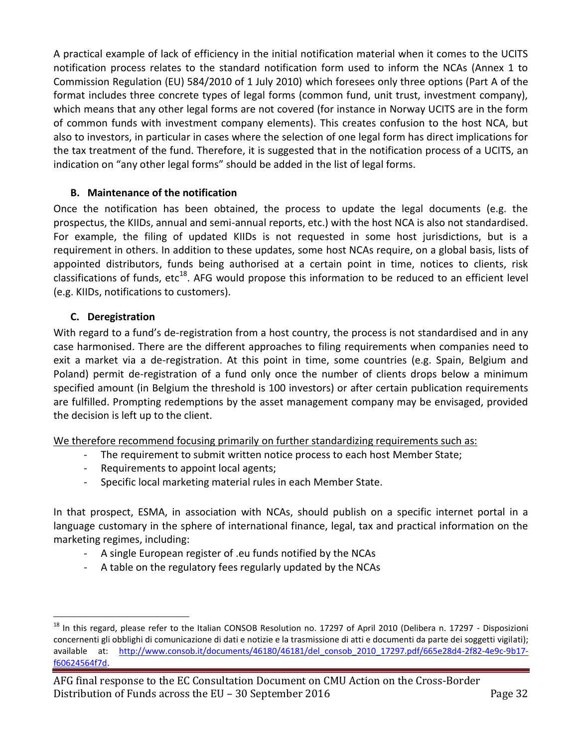A practical example of lack of efficiency in the initial notification material when it comes to the UCITS notification process relates to the standard notification form used to inform the NCAs (Annex 1 to Commission Regulation (EU) 584/2010 of 1 July 2010) which foresees only three options (Part A of the format includes three concrete types of legal forms (common fund, unit trust, investment company), which means that any other legal forms are not covered (for instance in Norway UCITS are in the form of common funds with investment company elements). This creates confusion to the host NCA, but also to investors, in particular in cases where the selection of one legal form has direct implications for the tax treatment of the fund. Therefore, it is suggested that in the notification process of a UCITS, an indication on "any other legal forms" should be added in the list of legal forms.

### **B. Maintenance of the notification**

Once the notification has been obtained, the process to update the legal documents (e.g. the prospectus, the KIIDs, annual and semi-annual reports, etc.) with the host NCA is also not standardised. For example, the filing of updated KIIDs is not requested in some host jurisdictions, but is a requirement in others. In addition to these updates, some host NCAs require, on a global basis, lists of appointed distributors, funds being authorised at a certain point in time, notices to clients, risk classifications of funds, etc<sup>18</sup>. AFG would propose this information to be reduced to an efficient level (e.g. KIIDs, notifications to customers).

## **C. Deregistration**

 $\overline{a}$ 

With regard to a fund's de-registration from a host country, the process is not standardised and in any case harmonised. There are the different approaches to filing requirements when companies need to exit a market via a de-registration. At this point in time, some countries (e.g. Spain, Belgium and Poland) permit de-registration of a fund only once the number of clients drops below a minimum specified amount (in Belgium the threshold is 100 investors) or after certain publication requirements are fulfilled. Prompting redemptions by the asset management company may be envisaged, provided the decision is left up to the client.

We therefore recommend focusing primarily on further standardizing requirements such as:

- The requirement to submit written notice process to each host Member State;
- Requirements to appoint local agents;
- Specific local marketing material rules in each Member State.

In that prospect, ESMA, in association with NCAs, should publish on a specific internet portal in a language customary in the sphere of international finance, legal, tax and practical information on the marketing regimes, including:

- A single European register of .eu funds notified by the NCAs
- A table on the regulatory fees regularly updated by the NCAs

<sup>&</sup>lt;sup>18</sup> In this regard, please refer to the Italian CONSOB Resolution no. 17297 of April 2010 (Delibera n. 17297 - Disposizioni concernenti gli obblighi di comunicazione di dati e notizie e la trasmissione di atti e documenti da parte dei soggetti vigilati); available at: http://www.consob.it/documents/46180/46181/del consob 2010 17297.pdf/665e28d4-2f82-4e9c-9b17[f60624564f7d.](http://www.consob.it/documents/46180/46181/del_consob_2010_17297.pdf/665e28d4-2f82-4e9c-9b17-f60624564f7d)

AFG final response to the EC Consultation Document on CMU Action on the Cross-Border Distribution of Funds across the EU – 30 September 2016 Page 32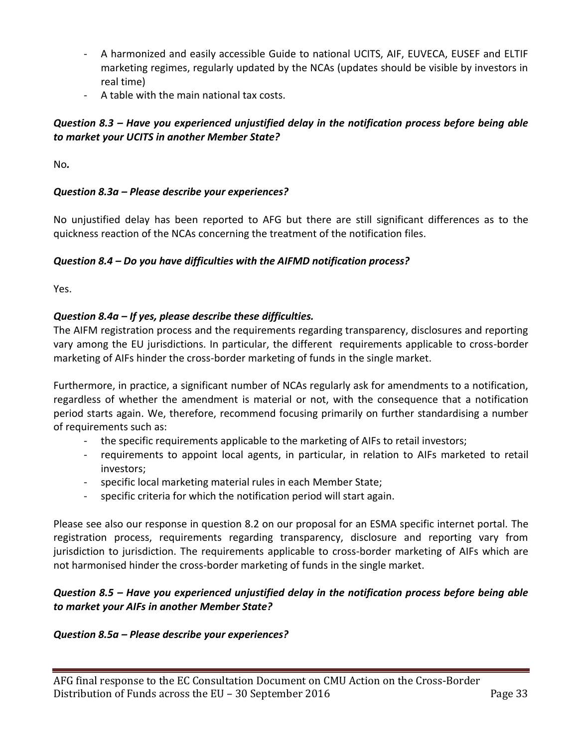- A harmonized and easily accessible Guide to national UCITS, AIF, EUVECA, EUSEF and ELTIF marketing regimes, regularly updated by the NCAs (updates should be visible by investors in real time)
- A table with the main national tax costs.

## *Question 8.3 – Have you experienced unjustified delay in the notification process before being able to market your UCITS in another Member State?*

No*.*

## *Question 8.3a – Please describe your experiences?*

No unjustified delay has been reported to AFG but there are still significant differences as to the quickness reaction of the NCAs concerning the treatment of the notification files.

#### *Question 8.4 – Do you have difficulties with the AIFMD notification process?*

Yes.

## *Question 8.4a – If yes, please describe these difficulties.*

The AIFM registration process and the requirements regarding transparency, disclosures and reporting vary among the EU jurisdictions. In particular, the different requirements applicable to cross-border marketing of AIFs hinder the cross-border marketing of funds in the single market.

Furthermore, in practice, a significant number of NCAs regularly ask for amendments to a notification, regardless of whether the amendment is material or not, with the consequence that a notification period starts again. We, therefore, recommend focusing primarily on further standardising a number of requirements such as:

- the specific requirements applicable to the marketing of AIFs to retail investors;
- requirements to appoint local agents, in particular, in relation to AIFs marketed to retail investors;
- specific local marketing material rules in each Member State;
- specific criteria for which the notification period will start again.

Please see also our response in question 8.2 on our proposal for an ESMA specific internet portal. The registration process, requirements regarding transparency, disclosure and reporting vary from jurisdiction to jurisdiction. The requirements applicable to cross-border marketing of AIFs which are not harmonised hinder the cross-border marketing of funds in the single market.

## *Question 8.5 – Have you experienced unjustified delay in the notification process before being able to market your AIFs in another Member State?*

#### *Question 8.5a – Please describe your experiences?*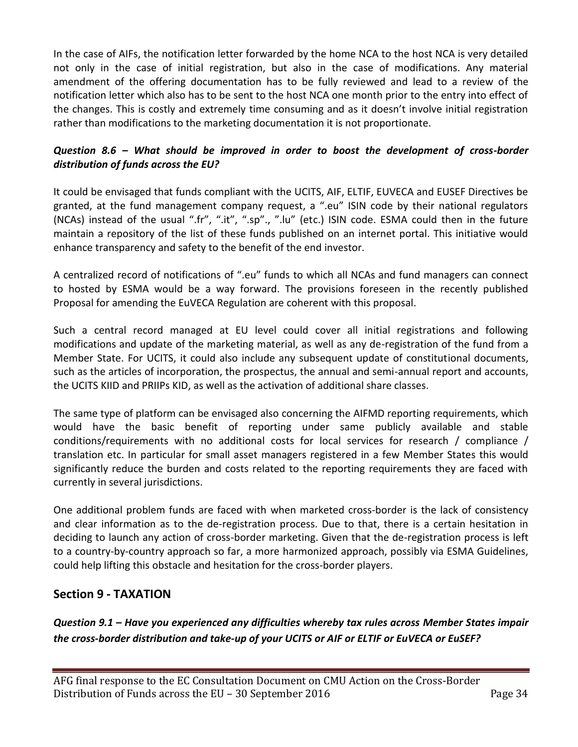In the case of AIFs, the notification letter forwarded by the home NCA to the host NCA is very detailed not only in the case of initial registration, but also in the case of modifications. Any material amendment of the offering documentation has to be fully reviewed and lead to a review of the notification letter which also has to be sent to the host NCA one month prior to the entry into effect of the changes. This is costly and extremely time consuming and as it doesn't involve initial registration rather than modifications to the marketing documentation it is not proportionate.

## *Question 8.6 – What should be improved in order to boost the development of cross-border distribution of funds across the EU?*

It could be envisaged that funds compliant with the UCITS, AIF, ELTIF, EUVECA and EUSEF Directives be granted, at the fund management company request, a ".eu" ISIN code by their national regulators (NCAs) instead of the usual ".fr", ".it", ".sp"., ".lu" (etc.) ISIN code. ESMA could then in the future maintain a repository of the list of these funds published on an internet portal. This initiative would enhance transparency and safety to the benefit of the end investor.

A centralized record of notifications of ".eu" funds to which all NCAs and fund managers can connect to hosted by ESMA would be a way forward. The provisions foreseen in the recently published Proposal for amending the EuVECA Regulation are coherent with this proposal.

Such a central record managed at EU level could cover all initial registrations and following modifications and update of the marketing material, as well as any de-registration of the fund from a Member State. For UCITS, it could also include any subsequent update of constitutional documents, such as the articles of incorporation, the prospectus, the annual and semi-annual report and accounts, the UCITS KIID and PRIIPs KID, as well as the activation of additional share classes.

The same type of platform can be envisaged also concerning the AIFMD reporting requirements, which would have the basic benefit of reporting under same publicly available and stable conditions/requirements with no additional costs for local services for research / compliance / translation etc. In particular for small asset managers registered in a few Member States this would significantly reduce the burden and costs related to the reporting requirements they are faced with currently in several jurisdictions.

One additional problem funds are faced with when marketed cross-border is the lack of consistency and clear information as to the de-registration process. Due to that, there is a certain hesitation in deciding to launch any action of cross-border marketing. Given that the de-registration process is left to a country-by-country approach so far, a more harmonized approach, possibly via ESMA Guidelines, could help lifting this obstacle and hesitation for the cross-border players.

## **Section 9 - TAXATION**

*Question 9.1 – Have you experienced any difficulties whereby tax rules across Member States impair the cross-border distribution and take-up of your UCITS or AIF or ELTIF or EuVECA or EuSEF?*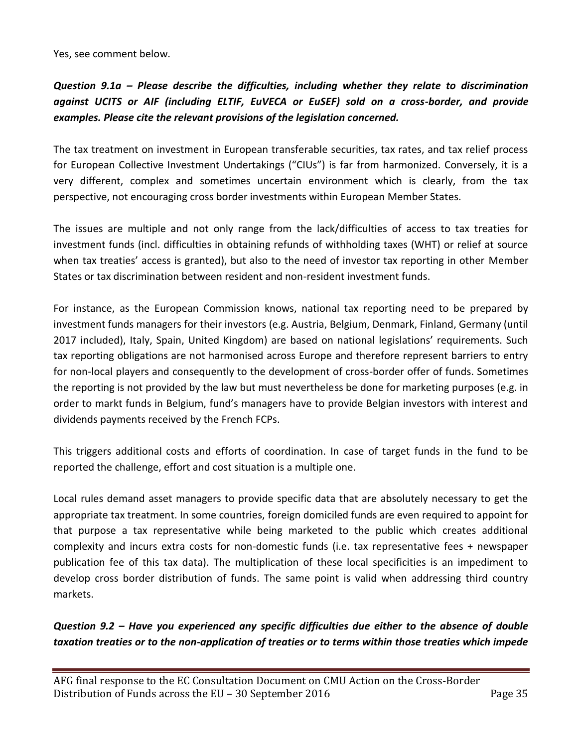Yes, see comment below.

*Question 9.1a – Please describe the difficulties, including whether they relate to discrimination against UCITS or AIF (including ELTIF, EuVECA or EuSEF) sold on a cross-border, and provide examples. Please cite the relevant provisions of the legislation concerned.*

The tax treatment on investment in European transferable securities, tax rates, and tax relief process for European Collective Investment Undertakings ("CIUs") is far from harmonized. Conversely, it is a very different, complex and sometimes uncertain environment which is clearly, from the tax perspective, not encouraging cross border investments within European Member States.

The issues are multiple and not only range from the lack/difficulties of access to tax treaties for investment funds (incl. difficulties in obtaining refunds of withholding taxes (WHT) or relief at source when tax treaties' access is granted), but also to the need of investor tax reporting in other Member States or tax discrimination between resident and non-resident investment funds.

For instance, as the European Commission knows, national tax reporting need to be prepared by investment funds managers for their investors (e.g. Austria, Belgium, Denmark, Finland, Germany (until 2017 included), Italy, Spain, United Kingdom) are based on national legislations' requirements. Such tax reporting obligations are not harmonised across Europe and therefore represent barriers to entry for non-local players and consequently to the development of cross-border offer of funds. Sometimes the reporting is not provided by the law but must nevertheless be done for marketing purposes (e.g. in order to markt funds in Belgium, fund's managers have to provide Belgian investors with interest and dividends payments received by the French FCPs.

This triggers additional costs and efforts of coordination. In case of target funds in the fund to be reported the challenge, effort and cost situation is a multiple one.

Local rules demand asset managers to provide specific data that are absolutely necessary to get the appropriate tax treatment. In some countries, foreign domiciled funds are even required to appoint for that purpose a tax representative while being marketed to the public which creates additional complexity and incurs extra costs for non-domestic funds (i.e. tax representative fees + newspaper publication fee of this tax data). The multiplication of these local specificities is an impediment to develop cross border distribution of funds. The same point is valid when addressing third country markets.

*Question 9.2 – Have you experienced any specific difficulties due either to the absence of double taxation treaties or to the non-application of treaties or to terms within those treaties which impede*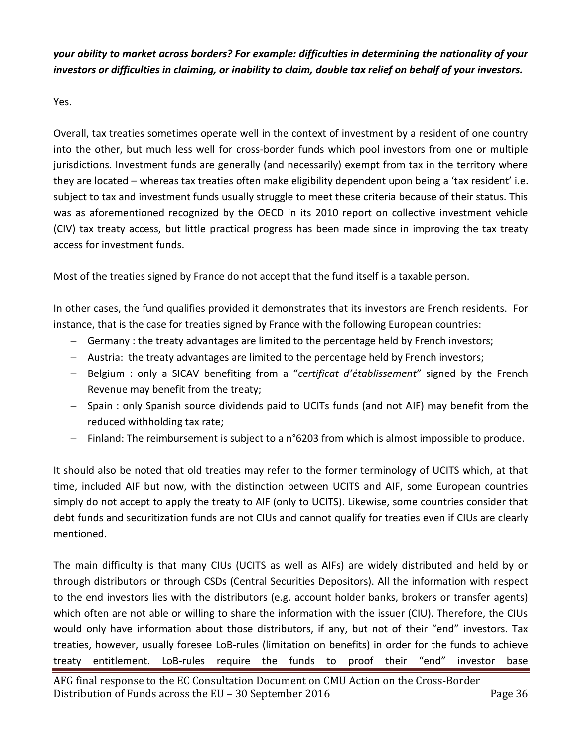*your ability to market across borders? For example: difficulties in determining the nationality of your investors or difficulties in claiming, or inability to claim, double tax relief on behalf of your investors.*

Yes.

Overall, tax treaties sometimes operate well in the context of investment by a resident of one country into the other, but much less well for cross-border funds which pool investors from one or multiple jurisdictions. Investment funds are generally (and necessarily) exempt from tax in the territory where they are located – whereas tax treaties often make eligibility dependent upon being a 'tax resident' i.e. subject to tax and investment funds usually struggle to meet these criteria because of their status. This was as aforementioned recognized by the OECD in its 2010 report on collective investment vehicle (CIV) tax treaty access, but little practical progress has been made since in improving the tax treaty access for investment funds.

Most of the treaties signed by France do not accept that the fund itself is a taxable person.

In other cases, the fund qualifies provided it demonstrates that its investors are French residents. For instance, that is the case for treaties signed by France with the following European countries:

- Germany : the treaty advantages are limited to the percentage held by French investors;
- Austria: the treaty advantages are limited to the percentage held by French investors;
- Belgium : only a SICAV benefiting from a "*certificat d'établissement*" signed by the French Revenue may benefit from the treaty;
- Spain : only Spanish source dividends paid to UCITs funds (and not AIF) may benefit from the reduced withholding tax rate;
- Finland: The reimbursement is subject to a n°6203 from which is almost impossible to produce.

It should also be noted that old treaties may refer to the former terminology of UCITS which, at that time, included AIF but now, with the distinction between UCITS and AIF, some European countries simply do not accept to apply the treaty to AIF (only to UCITS). Likewise, some countries consider that debt funds and securitization funds are not CIUs and cannot qualify for treaties even if CIUs are clearly mentioned.

The main difficulty is that many CIUs (UCITS as well as AIFs) are widely distributed and held by or through distributors or through CSDs (Central Securities Depositors). All the information with respect to the end investors lies with the distributors (e.g. account holder banks, brokers or transfer agents) which often are not able or willing to share the information with the issuer (CIU). Therefore, the CIUs would only have information about those distributors, if any, but not of their "end" investors. Tax treaties, however, usually foresee LoB-rules (limitation on benefits) in order for the funds to achieve treaty entitlement. LoB-rules require the funds to proof their "end" investor base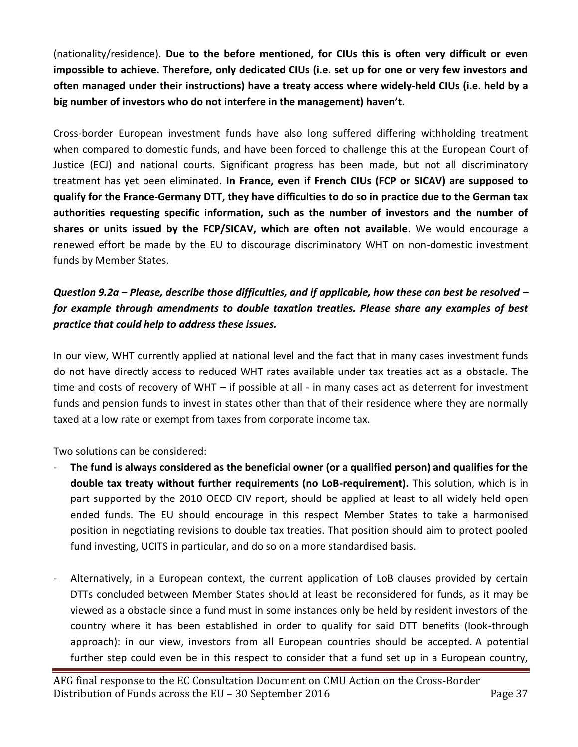(nationality/residence). **Due to the before mentioned, for CIUs this is often very difficult or even impossible to achieve. Therefore, only dedicated CIUs (i.e. set up for one or very few investors and often managed under their instructions) have a treaty access where widely-held CIUs (i.e. held by a big number of investors who do not interfere in the management) haven't.** 

Cross-border European investment funds have also long suffered differing withholding treatment when compared to domestic funds, and have been forced to challenge this at the European Court of Justice (ECJ) and national courts. Significant progress has been made, but not all discriminatory treatment has yet been eliminated. **In France, even if French CIUs (FCP or SICAV) are supposed to qualify for the France-Germany DTT, they have difficulties to do so in practice due to the German tax authorities requesting specific information, such as the number of investors and the number of shares or units issued by the FCP/SICAV, which are often not available**. We would encourage a renewed effort be made by the EU to discourage discriminatory WHT on non-domestic investment funds by Member States.

# *Question 9.2a – Please, describe those difficulties, and if applicable, how these can best be resolved – for example through amendments to double taxation treaties. Please share any examples of best practice that could help to address these issues.*

In our view, WHT currently applied at national level and the fact that in many cases investment funds do not have directly access to reduced WHT rates available under tax treaties act as a obstacle. The time and costs of recovery of WHT – if possible at all - in many cases act as deterrent for investment funds and pension funds to invest in states other than that of their residence where they are normally taxed at a low rate or exempt from taxes from corporate income tax.

Two solutions can be considered:

- **The fund is always considered as the beneficial owner (or a qualified person) and qualifies for the double tax treaty without further requirements (no LoB-requirement).** This solution, which is in part supported by the 2010 OECD CIV report, should be applied at least to all widely held open ended funds. The EU should encourage in this respect Member States to take a harmonised position in negotiating revisions to double tax treaties. That position should aim to protect pooled fund investing, UCITS in particular, and do so on a more standardised basis.
- Alternatively, in a European context, the current application of LoB clauses provided by certain DTTs concluded between Member States should at least be reconsidered for funds, as it may be viewed as a obstacle since a fund must in some instances only be held by resident investors of the country where it has been established in order to qualify for said DTT benefits (look-through approach): in our view, investors from all European countries should be accepted. A potential further step could even be in this respect to consider that a fund set up in a European country,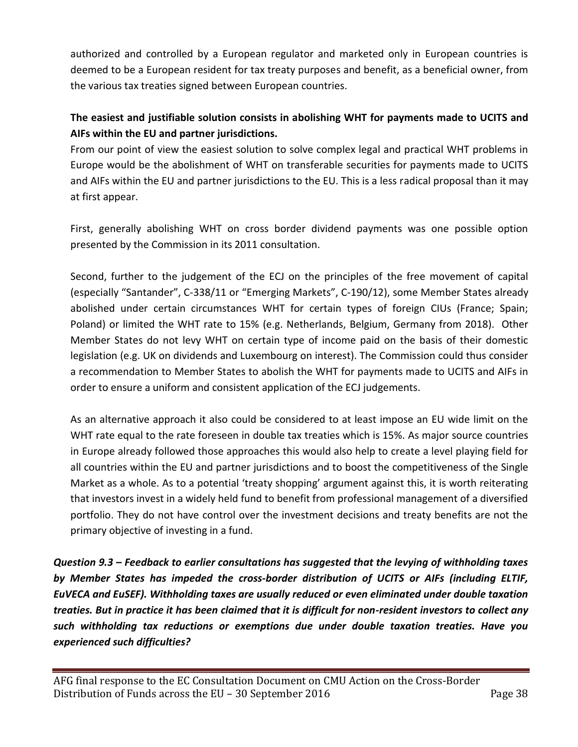authorized and controlled by a European regulator and marketed only in European countries is deemed to be a European resident for tax treaty purposes and benefit, as a beneficial owner, from the various tax treaties signed between European countries.

# **The easiest and justifiable solution consists in abolishing WHT for payments made to UCITS and AIFs within the EU and partner jurisdictions.**

From our point of view the easiest solution to solve complex legal and practical WHT problems in Europe would be the abolishment of WHT on transferable securities for payments made to UCITS and AIFs within the EU and partner jurisdictions to the EU. This is a less radical proposal than it may at first appear.

First, generally abolishing WHT on cross border dividend payments was one possible option presented by the Commission in its 2011 consultation.

Second, further to the judgement of the ECJ on the principles of the free movement of capital (especially "Santander", C-338/11 or "Emerging Markets", C-190/12), some Member States already abolished under certain circumstances WHT for certain types of foreign CIUs (France; Spain; Poland) or limited the WHT rate to 15% (e.g. Netherlands, Belgium, Germany from 2018). Other Member States do not levy WHT on certain type of income paid on the basis of their domestic legislation (e.g. UK on dividends and Luxembourg on interest). The Commission could thus consider a recommendation to Member States to abolish the WHT for payments made to UCITS and AIFs in order to ensure a uniform and consistent application of the ECJ judgements.

As an alternative approach it also could be considered to at least impose an EU wide limit on the WHT rate equal to the rate foreseen in double tax treaties which is 15%. As major source countries in Europe already followed those approaches this would also help to create a level playing field for all countries within the EU and partner jurisdictions and to boost the competitiveness of the Single Market as a whole. As to a potential 'treaty shopping' argument against this, it is worth reiterating that investors invest in a widely held fund to benefit from professional management of a diversified portfolio. They do not have control over the investment decisions and treaty benefits are not the primary objective of investing in a fund.

*Question 9.3 – Feedback to earlier consultations has suggested that the levying of withholding taxes by Member States has impeded the cross-border distribution of UCITS or AIFs (including ELTIF, EuVECA and EuSEF). Withholding taxes are usually reduced or even eliminated under double taxation treaties. But in practice it has been claimed that it is difficult for non-resident investors to collect any such withholding tax reductions or exemptions due under double taxation treaties. Have you experienced such difficulties?*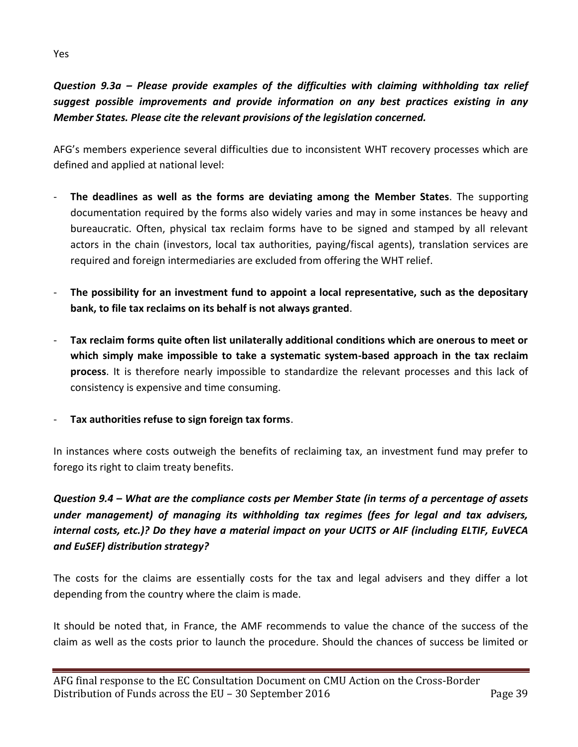# *Question 9.3a – Please provide examples of the difficulties with claiming withholding tax relief suggest possible improvements and provide information on any best practices existing in any Member States. Please cite the relevant provisions of the legislation concerned.*

AFG's members experience several difficulties due to inconsistent WHT recovery processes which are defined and applied at national level:

- **The deadlines as well as the forms are deviating among the Member States**. The supporting documentation required by the forms also widely varies and may in some instances be heavy and bureaucratic. Often, physical tax reclaim forms have to be signed and stamped by all relevant actors in the chain (investors, local tax authorities, paying/fiscal agents), translation services are required and foreign intermediaries are excluded from offering the WHT relief.
- The possibility for an investment fund to appoint a local representative, such as the depositary **bank, to file tax reclaims on its behalf is not always granted**.
- **Tax reclaim forms quite often list unilaterally additional conditions which are onerous to meet or which simply make impossible to take a systematic system-based approach in the tax reclaim process**. It is therefore nearly impossible to standardize the relevant processes and this lack of consistency is expensive and time consuming.
- **Tax authorities refuse to sign foreign tax forms**.

In instances where costs outweigh the benefits of reclaiming tax, an investment fund may prefer to forego its right to claim treaty benefits.

# *Question 9.4 – What are the compliance costs per Member State (in terms of a percentage of assets under management) of managing its withholding tax regimes (fees for legal and tax advisers, internal costs, etc.)? Do they have a material impact on your UCITS or AIF (including ELTIF, EuVECA and EuSEF) distribution strategy?*

The costs for the claims are essentially costs for the tax and legal advisers and they differ a lot depending from the country where the claim is made.

It should be noted that, in France, the AMF recommends to value the chance of the success of the claim as well as the costs prior to launch the procedure. Should the chances of success be limited or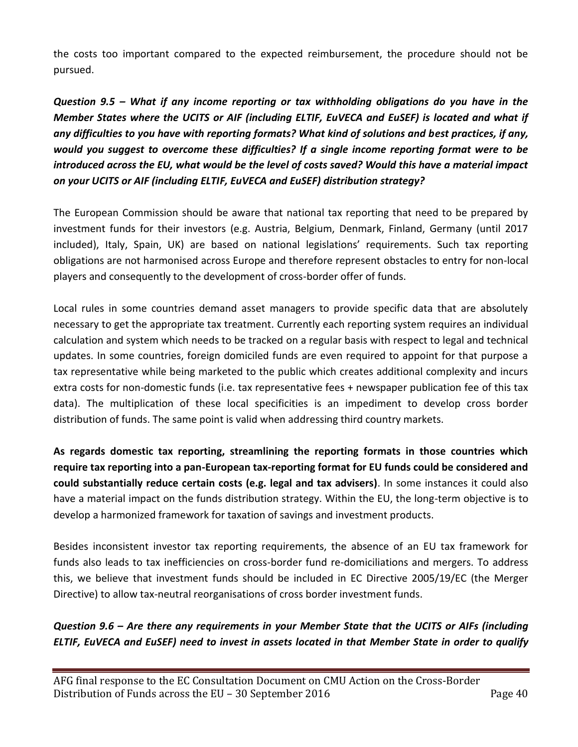the costs too important compared to the expected reimbursement, the procedure should not be pursued.

*Question 9.5 – What if any income reporting or tax withholding obligations do you have in the Member States where the UCITS or AIF (including ELTIF, EuVECA and EuSEF) is located and what if any difficulties to you have with reporting formats? What kind of solutions and best practices, if any, would you suggest to overcome these difficulties? If a single income reporting format were to be introduced across the EU, what would be the level of costs saved? Would this have a material impact on your UCITS or AIF (including ELTIF, EuVECA and EuSEF) distribution strategy?* 

The European Commission should be aware that national tax reporting that need to be prepared by investment funds for their investors (e.g. Austria, Belgium, Denmark, Finland, Germany (until 2017 included), Italy, Spain, UK) are based on national legislations' requirements. Such tax reporting obligations are not harmonised across Europe and therefore represent obstacles to entry for non-local players and consequently to the development of cross-border offer of funds.

Local rules in some countries demand asset managers to provide specific data that are absolutely necessary to get the appropriate tax treatment. Currently each reporting system requires an individual calculation and system which needs to be tracked on a regular basis with respect to legal and technical updates. In some countries, foreign domiciled funds are even required to appoint for that purpose a tax representative while being marketed to the public which creates additional complexity and incurs extra costs for non-domestic funds (i.e. tax representative fees + newspaper publication fee of this tax data). The multiplication of these local specificities is an impediment to develop cross border distribution of funds. The same point is valid when addressing third country markets.

**As regards domestic tax reporting, streamlining the reporting formats in those countries which require tax reporting into a pan-European tax-reporting format for EU funds could be considered and could substantially reduce certain costs (e.g. legal and tax advisers)**. In some instances it could also have a material impact on the funds distribution strategy. Within the EU, the long-term objective is to develop a harmonized framework for taxation of savings and investment products.

Besides inconsistent investor tax reporting requirements, the absence of an EU tax framework for funds also leads to tax inefficiencies on cross-border fund re-domiciliations and mergers. To address this, we believe that investment funds should be included in EC Directive 2005/19/EC (the Merger Directive) to allow tax-neutral reorganisations of cross border investment funds.

*Question 9.6 – Are there any requirements in your Member State that the UCITS or AIFs (including ELTIF, EuVECA and EuSEF) need to invest in assets located in that Member State in order to qualify*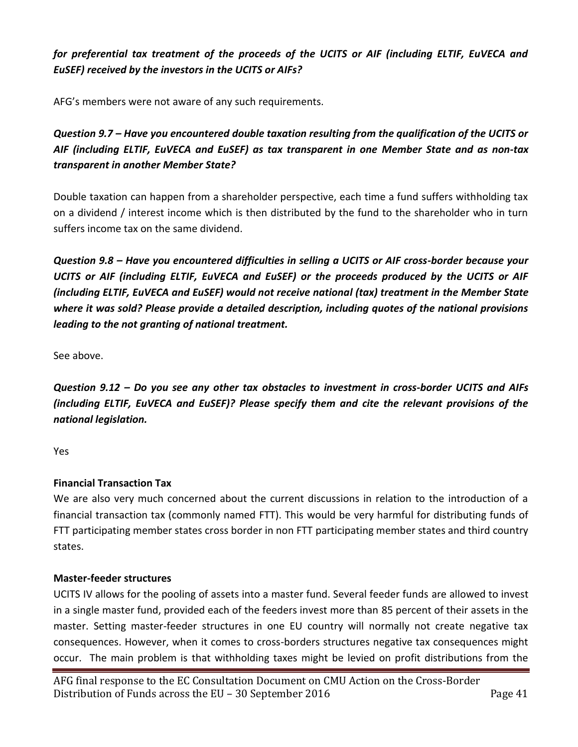# *for preferential tax treatment of the proceeds of the UCITS or AIF (including ELTIF, EuVECA and EuSEF) received by the investors in the UCITS or AIFs?*

AFG's members were not aware of any such requirements.

*Question 9.7 – Have you encountered double taxation resulting from the qualification of the UCITS or AIF (including ELTIF, EuVECA and EuSEF) as tax transparent in one Member State and as non-tax transparent in another Member State?* 

Double taxation can happen from a shareholder perspective, each time a fund suffers withholding tax on a dividend / interest income which is then distributed by the fund to the shareholder who in turn suffers income tax on the same dividend.

*Question 9.8 – Have you encountered difficulties in selling a UCITS or AIF cross-border because your UCITS or AIF (including ELTIF, EuVECA and EuSEF) or the proceeds produced by the UCITS or AIF (including ELTIF, EuVECA and EuSEF) would not receive national (tax) treatment in the Member State where it was sold? Please provide a detailed description, including quotes of the national provisions leading to the not granting of national treatment.*

See above.

*Question 9.12 – Do you see any other tax obstacles to investment in cross-border UCITS and AIFs (including ELTIF, EuVECA and EuSEF)? Please specify them and cite the relevant provisions of the national legislation.*

Yes

#### **Financial Transaction Tax**

We are also very much concerned about the current discussions in relation to the introduction of a financial transaction tax (commonly named FTT). This would be very harmful for distributing funds of FTT participating member states cross border in non FTT participating member states and third country states.

#### **Master-feeder structures**

UCITS IV allows for the pooling of assets into a master fund. Several feeder funds are allowed to invest in a single master fund, provided each of the feeders invest more than 85 percent of their assets in the master. Setting master-feeder structures in one EU country will normally not create negative tax consequences. However, when it comes to cross-borders structures negative tax consequences might occur. The main problem is that withholding taxes might be levied on profit distributions from the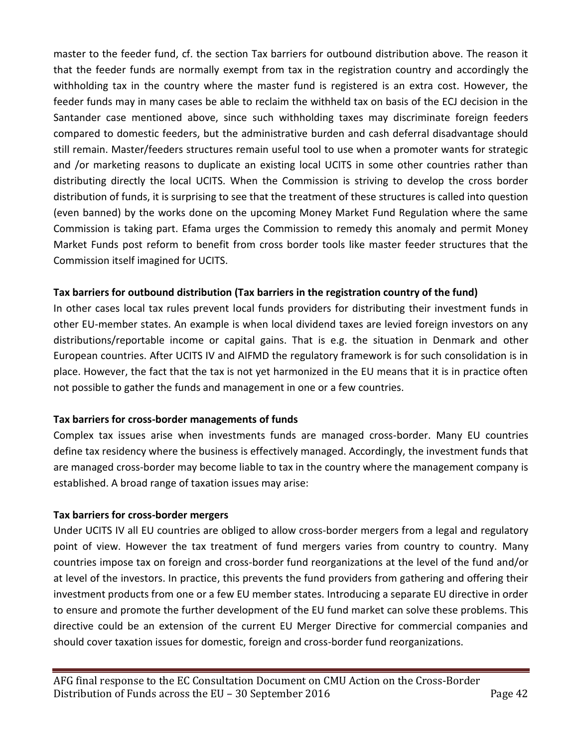master to the feeder fund, cf. the section Tax barriers for outbound distribution above. The reason it that the feeder funds are normally exempt from tax in the registration country and accordingly the withholding tax in the country where the master fund is registered is an extra cost. However, the feeder funds may in many cases be able to reclaim the withheld tax on basis of the ECJ decision in the Santander case mentioned above, since such withholding taxes may discriminate foreign feeders compared to domestic feeders, but the administrative burden and cash deferral disadvantage should still remain. Master/feeders structures remain useful tool to use when a promoter wants for strategic and /or marketing reasons to duplicate an existing local UCITS in some other countries rather than distributing directly the local UCITS. When the Commission is striving to develop the cross border distribution of funds, it is surprising to see that the treatment of these structures is called into question (even banned) by the works done on the upcoming Money Market Fund Regulation where the same Commission is taking part. Efama urges the Commission to remedy this anomaly and permit Money Market Funds post reform to benefit from cross border tools like master feeder structures that the Commission itself imagined for UCITS.

#### **Tax barriers for outbound distribution (Tax barriers in the registration country of the fund)**

In other cases local tax rules prevent local funds providers for distributing their investment funds in other EU-member states. An example is when local dividend taxes are levied foreign investors on any distributions/reportable income or capital gains. That is e.g. the situation in Denmark and other European countries. After UCITS IV and AIFMD the regulatory framework is for such consolidation is in place. However, the fact that the tax is not yet harmonized in the EU means that it is in practice often not possible to gather the funds and management in one or a few countries.

#### **Tax barriers for cross-border managements of funds**

Complex tax issues arise when investments funds are managed cross-border. Many EU countries define tax residency where the business is effectively managed. Accordingly, the investment funds that are managed cross-border may become liable to tax in the country where the management company is established. A broad range of taxation issues may arise:

#### **Tax barriers for cross-border mergers**

Under UCITS IV all EU countries are obliged to allow cross-border mergers from a legal and regulatory point of view. However the tax treatment of fund mergers varies from country to country. Many countries impose tax on foreign and cross-border fund reorganizations at the level of the fund and/or at level of the investors. In practice, this prevents the fund providers from gathering and offering their investment products from one or a few EU member states. Introducing a separate EU directive in order to ensure and promote the further development of the EU fund market can solve these problems. This directive could be an extension of the current EU Merger Directive for commercial companies and should cover taxation issues for domestic, foreign and cross-border fund reorganizations.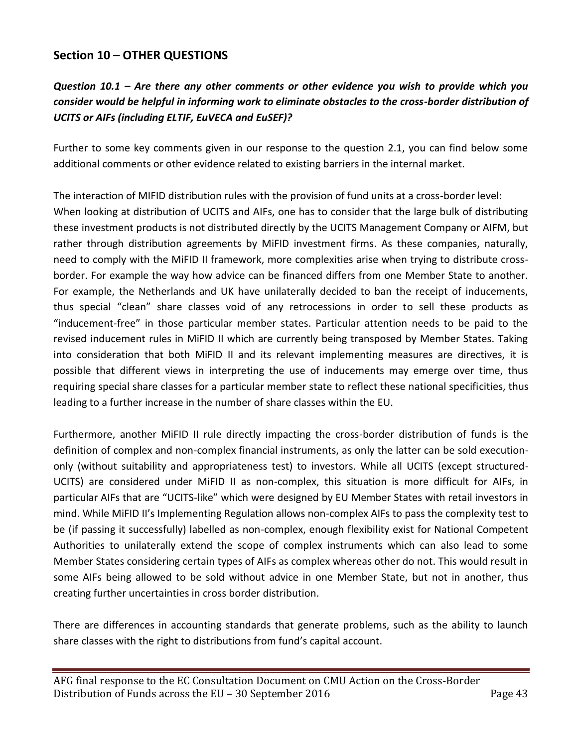## **Section 10 – OTHER QUESTIONS**

# *Question 10.1 – Are there any other comments or other evidence you wish to provide which you consider would be helpful in informing work to eliminate obstacles to the cross-border distribution of UCITS or AIFs (including ELTIF, EuVECA and EuSEF)?*

Further to some key comments given in our response to the question 2.1, you can find below some additional comments or other evidence related to existing barriers in the internal market.

The interaction of MIFID distribution rules with the provision of fund units at a cross-border level: When looking at distribution of UCITS and AIFs, one has to consider that the large bulk of distributing these investment products is not distributed directly by the UCITS Management Company or AIFM, but rather through distribution agreements by MiFID investment firms. As these companies, naturally, need to comply with the MiFID II framework, more complexities arise when trying to distribute crossborder. For example the way how advice can be financed differs from one Member State to another. For example, the Netherlands and UK have unilaterally decided to ban the receipt of inducements, thus special "clean" share classes void of any retrocessions in order to sell these products as "inducement-free" in those particular member states. Particular attention needs to be paid to the revised inducement rules in MiFID II which are currently being transposed by Member States. Taking into consideration that both MiFID II and its relevant implementing measures are directives, it is possible that different views in interpreting the use of inducements may emerge over time, thus requiring special share classes for a particular member state to reflect these national specificities, thus leading to a further increase in the number of share classes within the EU.

Furthermore, another MiFID II rule directly impacting the cross-border distribution of funds is the definition of complex and non-complex financial instruments, as only the latter can be sold executiononly (without suitability and appropriateness test) to investors. While all UCITS (except structured-UCITS) are considered under MiFID II as non-complex, this situation is more difficult for AIFs, in particular AIFs that are "UCITS-like" which were designed by EU Member States with retail investors in mind. While MiFID II's Implementing Regulation allows non-complex AIFs to pass the complexity test to be (if passing it successfully) labelled as non-complex, enough flexibility exist for National Competent Authorities to unilaterally extend the scope of complex instruments which can also lead to some Member States considering certain types of AIFs as complex whereas other do not. This would result in some AIFs being allowed to be sold without advice in one Member State, but not in another, thus creating further uncertainties in cross border distribution.

There are differences in accounting standards that generate problems, such as the ability to launch share classes with the right to distributions from fund's capital account.